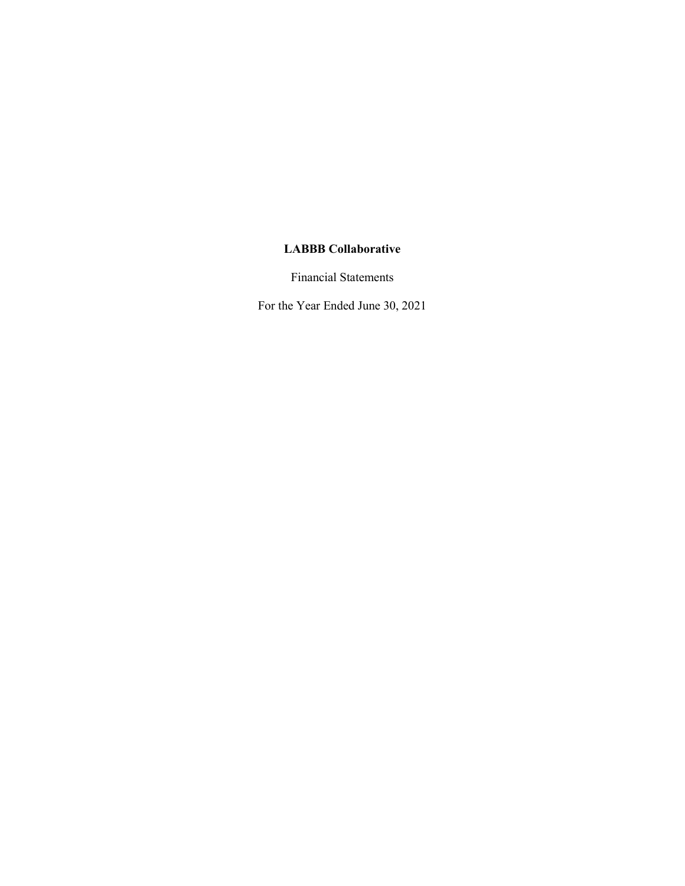Financial Statements

For the Year Ended June 30, 2021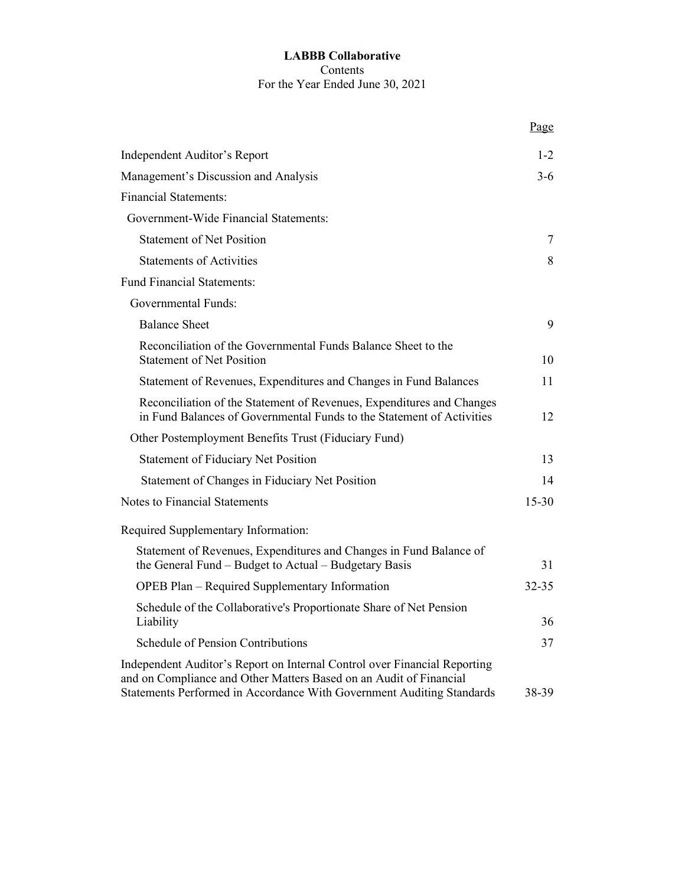#### **LABBB Collaborative** Contents For the Year Ended June 30, 2021

|                                                                                                                                                                                                                          | Page      |
|--------------------------------------------------------------------------------------------------------------------------------------------------------------------------------------------------------------------------|-----------|
| Independent Auditor's Report                                                                                                                                                                                             | $1 - 2$   |
| Management's Discussion and Analysis                                                                                                                                                                                     | $3-6$     |
| <b>Financial Statements:</b>                                                                                                                                                                                             |           |
| Government-Wide Financial Statements:                                                                                                                                                                                    |           |
| <b>Statement of Net Position</b>                                                                                                                                                                                         | 7         |
| <b>Statements of Activities</b>                                                                                                                                                                                          | 8         |
| <b>Fund Financial Statements:</b>                                                                                                                                                                                        |           |
| <b>Governmental Funds:</b>                                                                                                                                                                                               |           |
| <b>Balance Sheet</b>                                                                                                                                                                                                     | 9         |
| Reconciliation of the Governmental Funds Balance Sheet to the<br><b>Statement of Net Position</b>                                                                                                                        | 10        |
| Statement of Revenues, Expenditures and Changes in Fund Balances                                                                                                                                                         | 11        |
| Reconciliation of the Statement of Revenues, Expenditures and Changes<br>in Fund Balances of Governmental Funds to the Statement of Activities                                                                           | 12        |
| Other Postemployment Benefits Trust (Fiduciary Fund)                                                                                                                                                                     |           |
| <b>Statement of Fiduciary Net Position</b>                                                                                                                                                                               | 13        |
| Statement of Changes in Fiduciary Net Position                                                                                                                                                                           | 14        |
| <b>Notes to Financial Statements</b>                                                                                                                                                                                     | $15 - 30$ |
| Required Supplementary Information:                                                                                                                                                                                      |           |
| Statement of Revenues, Expenditures and Changes in Fund Balance of<br>the General Fund - Budget to Actual - Budgetary Basis                                                                                              | 31        |
| <b>OPEB Plan – Required Supplementary Information</b>                                                                                                                                                                    | 32-35     |
| Schedule of the Collaborative's Proportionate Share of Net Pension<br>Liability                                                                                                                                          | 36        |
| Schedule of Pension Contributions                                                                                                                                                                                        | 37        |
| Independent Auditor's Report on Internal Control over Financial Reporting<br>and on Compliance and Other Matters Based on an Audit of Financial<br>Statements Performed in Accordance With Government Auditing Standards | 38-39     |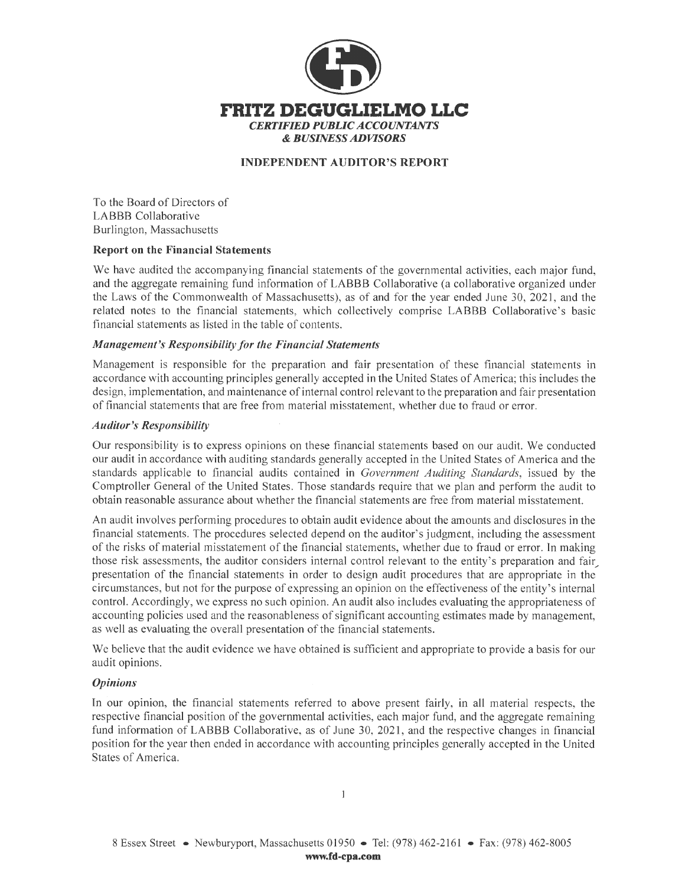

#### **INDEPENDENT AUDITOR'S REPORT**

To the Board of Directors of LABBB Collaborative Burlington, Massachusetts

#### **Report on the Financial Statements**

We have audited the accompanying financial statements of the governmental activities, each major fund, and the aggregate remaining fund information of LABBB Collaborative (a collaborative organized under the Laws of the Commonwealth of Massachusetts), as of and for the year ended June 30, 2021, and the related notes to the financial statements, which collectively comprise LABBB Collaborative's basic financial statements as listed in the table of contents.

#### *Management's Responsibility for the Financial Statements*

Management is responsible for the preparation and fair presentation of these financial statements in accordance with accounting principles generally accepted in the United States of America; this includes the design, implementation, and maintenance of internal control relevant to the preparation and fair presentation of financial statements that are free from material misstatement, whether due to fraud or error.

#### *Auditor's Responsibility*

Our responsibility is to express opinions on these financial statements based on our audit. We conducted our audit in accordance with auditing standards generally accepted in the United States of America and the standards applicable to financial audits contained in *Government Auditing Standards,* issued by the Comptroller General of the United States. Those standards require that we plan and perform the audit to obtain reasonable assurance about whether the financial statements are free from material misstatement.

An audit involves performing procedures to obtain audit evidence about the amounts and disclosures in the financial statements. The procedures selected depend on the auditor's judgment, including the assessment of the risks of material misstatement of the financial statements, whether due to fraud or error. In making those risk assessments, the auditor considers internal control relevant to the entity's preparation and fair presentation of the financial statements in order to design audit procedures that are appropriate in the circumstances, but not for the purpose of expressing an opinion on the effectiveness of the entity's internal control. Accordingly, we express no such opinion. An audit also includes evaluating the appropriateness of accounting policies used and the reasonableness of significant accounting estimates made by management, as well as evaluating the overall presentation of the financial statements.

We believe that the audit evidence we have obtained is sufficient and appropriate to provide a basis for our audit opinions.

#### *Opinions*

In our opinion, the financial statements referred to above present fairly, in all material respects, the respective financial position of the governmental activities, each major fund, and the aggregate remaining fund information of LABBB Collaborative, as of June 30, 2021, and the respective changes in financial position for the year then ended in accordance with accounting principles generally accepted in the United States of America.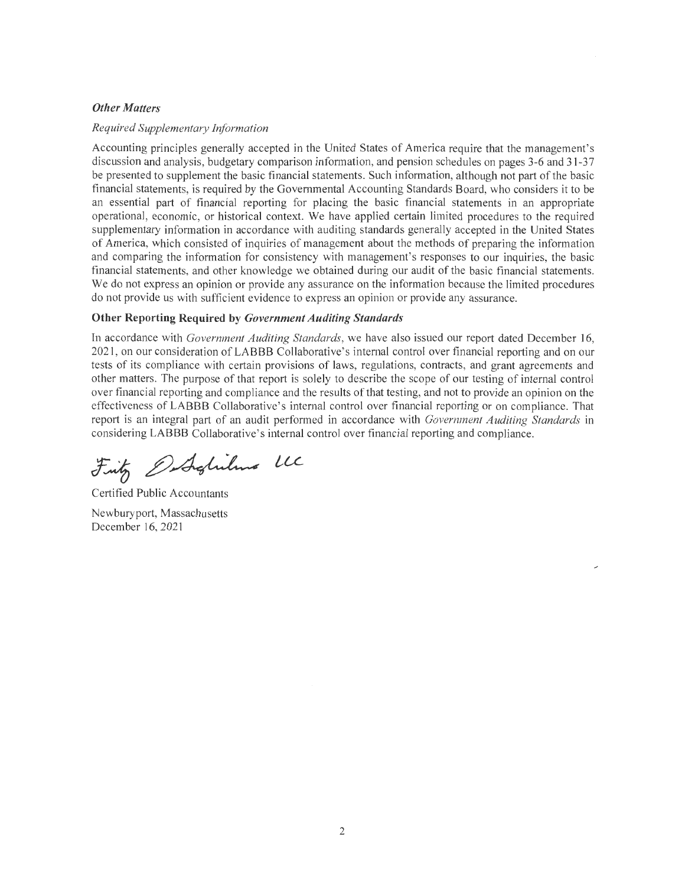#### *Other Matters*

#### *Required Supplementary Information*

Accounting principles generally accepted in the United States of America require that the management's discussion and analysis, budgetary comparison information, and pension schedules on pages 3-6 and 31-37 be presented to supplement the basic financial statements. Such information, although not part of the basic financial statements, is required by the Governmental Accounting Standards Board, who considers it to be an essential part of financial reporting for placing the basic financial statements in an appropriate operational, economic, or historical context. We have applied certain limited procedures to the required supplementary information in accordance with auditing standards generally accepted in the United States of America, which consisted of inquiries of management about the methods of preparing the information and comparing the infonnation for consistency with management's responses to our inquiries, the basic financial statements, and other knowledge we obtained during our audit of the basic financial statements. We do not express an opinion or provide any assurance on the information because the limited procedures do not provide us with sufficient evidence to express an opinion or provide any assurance.

#### **Other Reporting Required by** *Government Auditing Standards*

In accordance with *Government Auditing Standards,* we have also issued our report dated December 16, 2021, on our consideration of LABBB Collaborative's internal control over financial reporting and on our tests of its compliance with certain provisions of laws, regulations, contracts, and grant agreements and other matters. The purpose of that report is solely to describe the scope of our testing of internal control over financial reporting and compliance and the results of that testing, and not to provide an opinion on the effectiveness of LABBB Collaborative's internal control over financial reporting or on compliance. That report is an integral part of an audit performed in accordance with *Government Auditing Standards* in considering LABBB Collaborative's internal control over financial reporting and compliance.

Fritz Ostrolilino LC

Certified Public Accountants Newburyport, Massachusetts December 16, 2021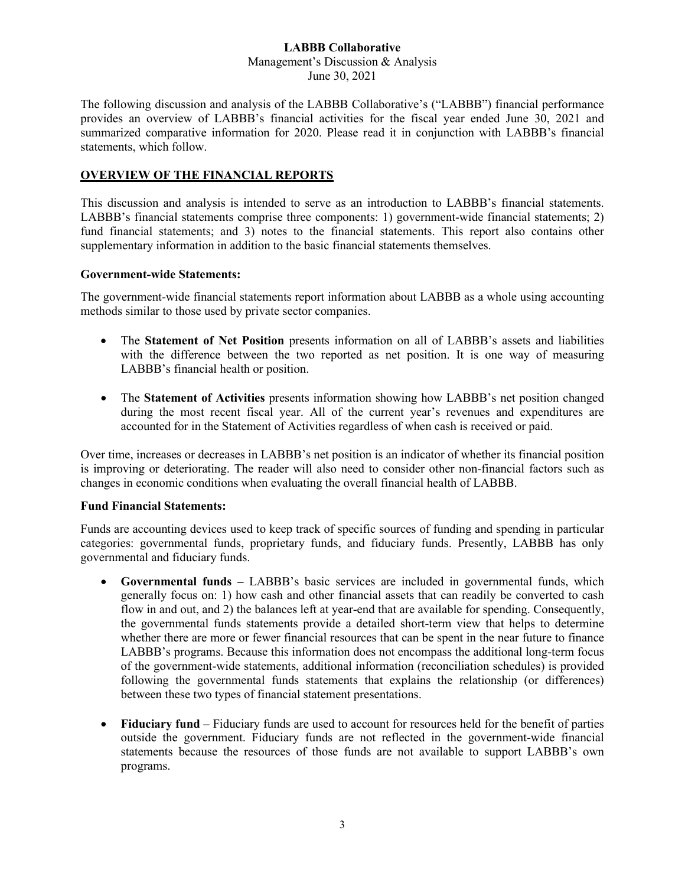#### **LABBB Collaborative** Management's Discussion & Analysis June 30, 2021

The following discussion and analysis of the LABBB Collaborative's ("LABBB") financial performance provides an overview of LABBB's financial activities for the fiscal year ended June 30, 2021 and summarized comparative information for 2020. Please read it in conjunction with LABBB's financial statements, which follow.

#### **OVERVIEW OF THE FINANCIAL REPORTS**

This discussion and analysis is intended to serve as an introduction to LABBB's financial statements. LABBB's financial statements comprise three components: 1) government-wide financial statements; 2) fund financial statements; and 3) notes to the financial statements. This report also contains other supplementary information in addition to the basic financial statements themselves.

#### **Government-wide Statements:**

The government-wide financial statements report information about LABBB as a whole using accounting methods similar to those used by private sector companies.

- The **Statement of Net Position** presents information on all of LABBB's assets and liabilities with the difference between the two reported as net position. It is one way of measuring LABBB's financial health or position.
- The **Statement of Activities** presents information showing how LABBB's net position changed during the most recent fiscal year. All of the current year's revenues and expenditures are accounted for in the Statement of Activities regardless of when cash is received or paid.

Over time, increases or decreases in LABBB's net position is an indicator of whether its financial position is improving or deteriorating. The reader will also need to consider other non-financial factors such as changes in economic conditions when evaluating the overall financial health of LABBB.

#### **Fund Financial Statements:**

Funds are accounting devices used to keep track of specific sources of funding and spending in particular categories: governmental funds, proprietary funds, and fiduciary funds. Presently, LABBB has only governmental and fiduciary funds.

- **Governmental funds –** LABBB's basic services are included in governmental funds, which generally focus on: 1) how cash and other financial assets that can readily be converted to cash flow in and out, and 2) the balances left at year-end that are available for spending. Consequently, the governmental funds statements provide a detailed short-term view that helps to determine whether there are more or fewer financial resources that can be spent in the near future to finance LABBB's programs. Because this information does not encompass the additional long-term focus of the government-wide statements, additional information (reconciliation schedules) is provided following the governmental funds statements that explains the relationship (or differences) between these two types of financial statement presentations.
- **Fiduciary fund** Fiduciary funds are used to account for resources held for the benefit of parties outside the government. Fiduciary funds are not reflected in the government-wide financial statements because the resources of those funds are not available to support LABBB's own programs.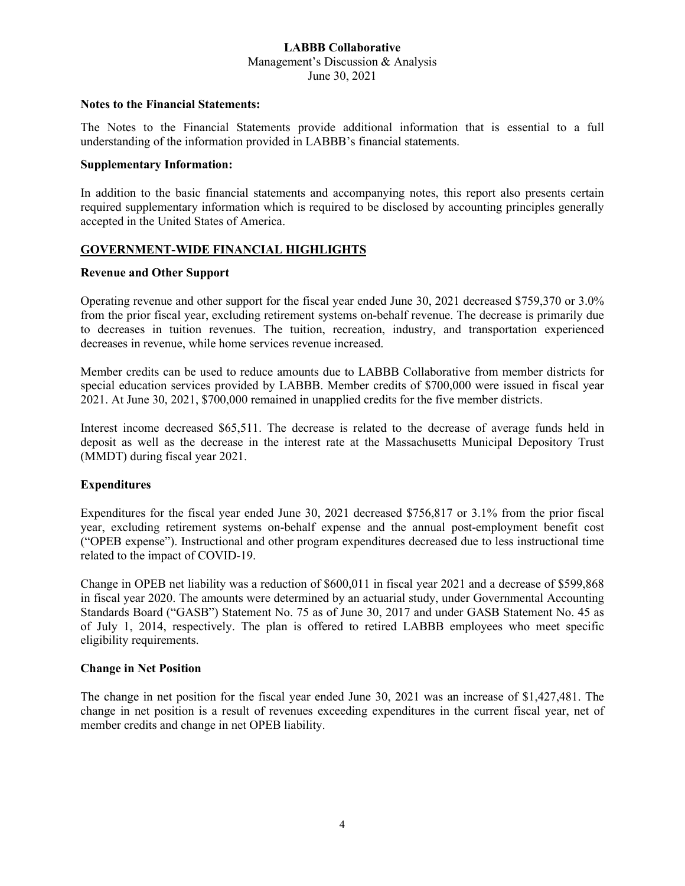#### **LABBB Collaborative** Management's Discussion & Analysis June 30, 2021

#### **Notes to the Financial Statements:**

The Notes to the Financial Statements provide additional information that is essential to a full understanding of the information provided in LABBB's financial statements.

#### **Supplementary Information:**

In addition to the basic financial statements and accompanying notes, this report also presents certain required supplementary information which is required to be disclosed by accounting principles generally accepted in the United States of America.

#### **GOVERNMENT-WIDE FINANCIAL HIGHLIGHTS**

#### **Revenue and Other Support**

Operating revenue and other support for the fiscal year ended June 30, 2021 decreased \$759,370 or 3.0% from the prior fiscal year, excluding retirement systems on-behalf revenue. The decrease is primarily due to decreases in tuition revenues. The tuition, recreation, industry, and transportation experienced decreases in revenue, while home services revenue increased.

Member credits can be used to reduce amounts due to LABBB Collaborative from member districts for special education services provided by LABBB. Member credits of \$700,000 were issued in fiscal year 2021. At June 30, 2021, \$700,000 remained in unapplied credits for the five member districts.

Interest income decreased \$65,511. The decrease is related to the decrease of average funds held in deposit as well as the decrease in the interest rate at the Massachusetts Municipal Depository Trust (MMDT) during fiscal year 2021.

#### **Expenditures**

Expenditures for the fiscal year ended June 30, 2021 decreased \$756,817 or 3.1% from the prior fiscal year, excluding retirement systems on-behalf expense and the annual post-employment benefit cost ("OPEB expense"). Instructional and other program expenditures decreased due to less instructional time related to the impact of COVID-19.

Change in OPEB net liability was a reduction of \$600,011 in fiscal year 2021 and a decrease of \$599,868 in fiscal year 2020. The amounts were determined by an actuarial study, under Governmental Accounting Standards Board ("GASB") Statement No. 75 as of June 30, 2017 and under GASB Statement No. 45 as of July 1, 2014, respectively. The plan is offered to retired LABBB employees who meet specific eligibility requirements.

#### **Change in Net Position**

The change in net position for the fiscal year ended June 30, 2021 was an increase of \$1,427,481. The change in net position is a result of revenues exceeding expenditures in the current fiscal year, net of member credits and change in net OPEB liability.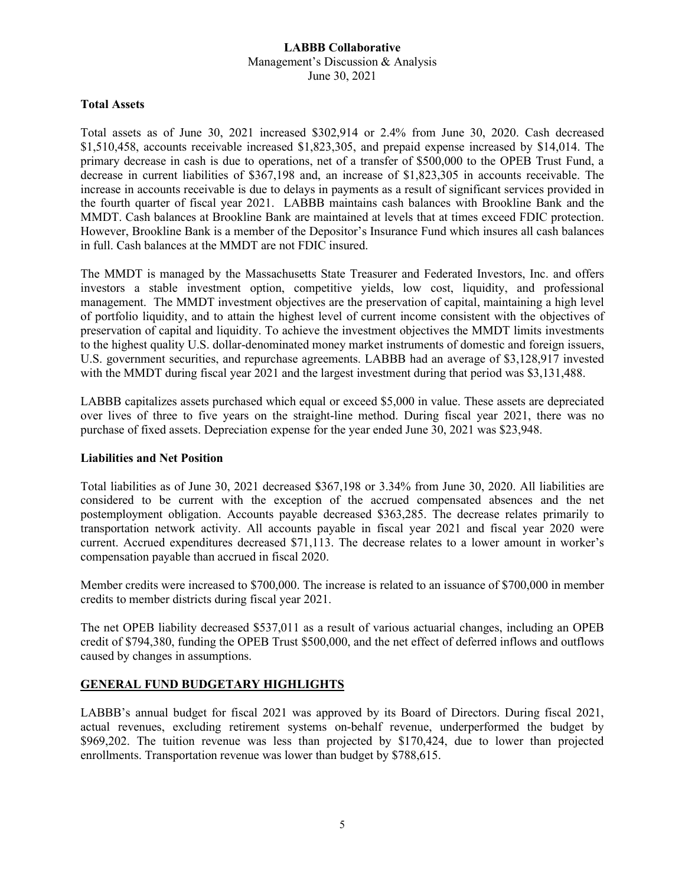#### **LABBB Collaborative** Management's Discussion & Analysis June 30, 2021

#### **Total Assets**

Total assets as of June 30, 2021 increased \$302,914 or 2.4% from June 30, 2020. Cash decreased \$1,510,458, accounts receivable increased \$1,823,305, and prepaid expense increased by \$14,014. The primary decrease in cash is due to operations, net of a transfer of \$500,000 to the OPEB Trust Fund, a decrease in current liabilities of \$367,198 and, an increase of \$1,823,305 in accounts receivable. The increase in accounts receivable is due to delays in payments as a result of significant services provided in the fourth quarter of fiscal year 2021. LABBB maintains cash balances with Brookline Bank and the MMDT. Cash balances at Brookline Bank are maintained at levels that at times exceed FDIC protection. However, Brookline Bank is a member of the Depositor's Insurance Fund which insures all cash balances in full. Cash balances at the MMDT are not FDIC insured.

The MMDT is managed by the Massachusetts State Treasurer and Federated Investors, Inc. and offers investors a stable investment option, competitive yields, low cost, liquidity, and professional management. The MMDT investment objectives are the preservation of capital, maintaining a high level of portfolio liquidity, and to attain the highest level of current income consistent with the objectives of preservation of capital and liquidity. To achieve the investment objectives the MMDT limits investments to the highest quality U.S. dollar-denominated money market instruments of domestic and foreign issuers, U.S. government securities, and repurchase agreements. LABBB had an average of \$3,128,917 invested with the MMDT during fiscal year 2021 and the largest investment during that period was \$3,131,488.

LABBB capitalizes assets purchased which equal or exceed \$5,000 in value. These assets are depreciated over lives of three to five years on the straight-line method. During fiscal year 2021, there was no purchase of fixed assets. Depreciation expense for the year ended June 30, 2021 was \$23,948.

#### **Liabilities and Net Position**

Total liabilities as of June 30, 2021 decreased \$367,198 or 3.34% from June 30, 2020. All liabilities are considered to be current with the exception of the accrued compensated absences and the net postemployment obligation. Accounts payable decreased \$363,285. The decrease relates primarily to transportation network activity. All accounts payable in fiscal year 2021 and fiscal year 2020 were current. Accrued expenditures decreased \$71,113. The decrease relates to a lower amount in worker's compensation payable than accrued in fiscal 2020.

Member credits were increased to \$700,000. The increase is related to an issuance of \$700,000 in member credits to member districts during fiscal year 2021.

The net OPEB liability decreased \$537,011 as a result of various actuarial changes, including an OPEB credit of \$794,380, funding the OPEB Trust \$500,000, and the net effect of deferred inflows and outflows caused by changes in assumptions.

#### **GENERAL FUND BUDGETARY HIGHLIGHTS**

LABBB's annual budget for fiscal 2021 was approved by its Board of Directors. During fiscal 2021, actual revenues, excluding retirement systems on-behalf revenue, underperformed the budget by \$969,202. The tuition revenue was less than projected by \$170,424, due to lower than projected enrollments. Transportation revenue was lower than budget by \$788,615.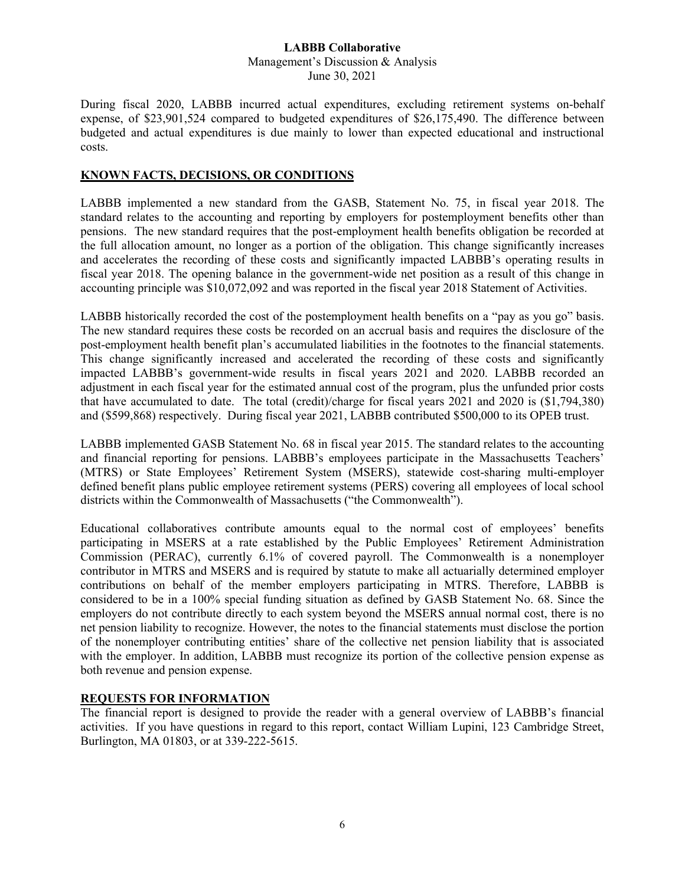Management's Discussion & Analysis June 30, 2021

During fiscal 2020, LABBB incurred actual expenditures, excluding retirement systems on-behalf expense, of \$23,901,524 compared to budgeted expenditures of \$26,175,490. The difference between budgeted and actual expenditures is due mainly to lower than expected educational and instructional costs.

#### **KNOWN FACTS, DECISIONS, OR CONDITIONS**

LABBB implemented a new standard from the GASB, Statement No. 75, in fiscal year 2018. The standard relates to the accounting and reporting by employers for postemployment benefits other than pensions. The new standard requires that the post-employment health benefits obligation be recorded at the full allocation amount, no longer as a portion of the obligation. This change significantly increases and accelerates the recording of these costs and significantly impacted LABBB's operating results in fiscal year 2018. The opening balance in the government-wide net position as a result of this change in accounting principle was \$10,072,092 and was reported in the fiscal year 2018 Statement of Activities.

LABBB historically recorded the cost of the postemployment health benefits on a "pay as you go" basis. The new standard requires these costs be recorded on an accrual basis and requires the disclosure of the post-employment health benefit plan's accumulated liabilities in the footnotes to the financial statements. This change significantly increased and accelerated the recording of these costs and significantly impacted LABBB's government-wide results in fiscal years 2021 and 2020. LABBB recorded an adjustment in each fiscal year for the estimated annual cost of the program, plus the unfunded prior costs that have accumulated to date. The total (credit)/charge for fiscal years 2021 and 2020 is (\$1,794,380) and (\$599,868) respectively. During fiscal year 2021, LABBB contributed \$500,000 to its OPEB trust.

LABBB implemented GASB Statement No. 68 in fiscal year 2015. The standard relates to the accounting and financial reporting for pensions. LABBB's employees participate in the Massachusetts Teachers' (MTRS) or State Employees' Retirement System (MSERS), statewide cost-sharing multi-employer defined benefit plans public employee retirement systems (PERS) covering all employees of local school districts within the Commonwealth of Massachusetts ("the Commonwealth").

Educational collaboratives contribute amounts equal to the normal cost of employees' benefits participating in MSERS at a rate established by the Public Employees' Retirement Administration Commission (PERAC), currently 6.1% of covered payroll. The Commonwealth is a nonemployer contributor in MTRS and MSERS and is required by statute to make all actuarially determined employer contributions on behalf of the member employers participating in MTRS. Therefore, LABBB is considered to be in a 100% special funding situation as defined by GASB Statement No. 68. Since the employers do not contribute directly to each system beyond the MSERS annual normal cost, there is no net pension liability to recognize. However, the notes to the financial statements must disclose the portion of the nonemployer contributing entities' share of the collective net pension liability that is associated with the employer. In addition, LABBB must recognize its portion of the collective pension expense as both revenue and pension expense.

#### **REQUESTS FOR INFORMATION**

The financial report is designed to provide the reader with a general overview of LABBB's financial activities. If you have questions in regard to this report, contact William Lupini, 123 Cambridge Street, Burlington, MA 01803, or at 339-222-5615.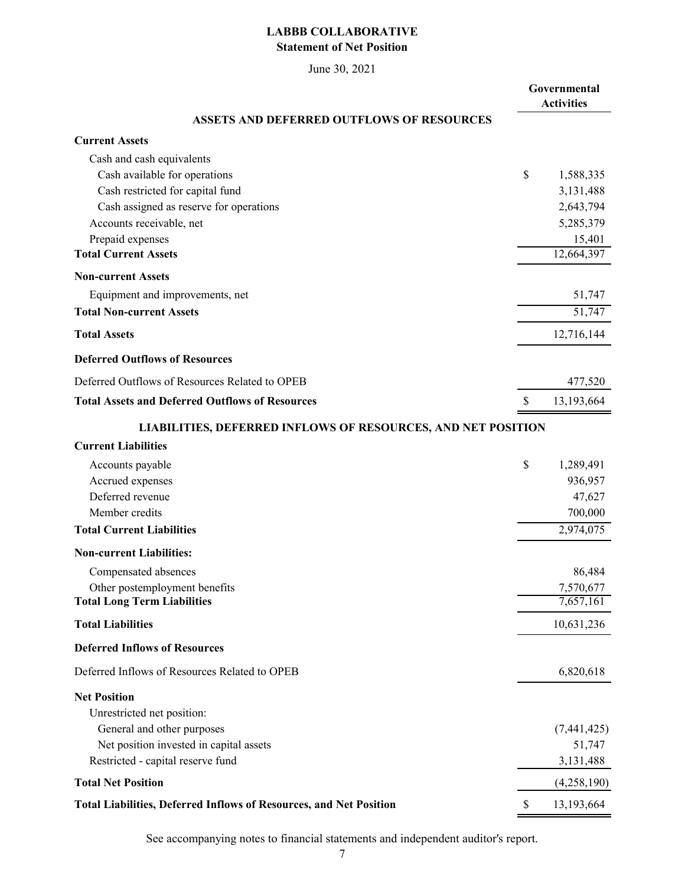#### **LABBB COLLABORATIVE Statement of Net Position**

June 30, 2021

|                                                                           | Governmental<br><b>Activities</b> |
|---------------------------------------------------------------------------|-----------------------------------|
| <b>ASSETS AND DEFERRED OUTFLOWS OF RESOURCES</b>                          |                                   |
| <b>Current Assets</b>                                                     |                                   |
| Cash and cash equivalents                                                 |                                   |
| Cash available for operations                                             | \$<br>1,588,335                   |
| Cash restricted for capital fund                                          | 3,131,488                         |
| Cash assigned as reserve for operations                                   | 2,643,794                         |
| Accounts receivable, net                                                  | 5,285,379                         |
| Prepaid expenses<br><b>Total Current Assets</b>                           | 15,401<br>12,664,397              |
| <b>Non-current Assets</b>                                                 |                                   |
| Equipment and improvements, net                                           | 51,747                            |
| <b>Total Non-current Assets</b>                                           | $\overline{51,747}$               |
| <b>Total Assets</b>                                                       | 12,716,144                        |
| <b>Deferred Outflows of Resources</b>                                     |                                   |
| Deferred Outflows of Resources Related to OPEB                            | 477,520                           |
| <b>Total Assets and Deferred Outflows of Resources</b>                    | \$<br>13,193,664                  |
| <b>LIABILITIES, DEFERRED INFLOWS OF RESOURCES, AND NET POSITION</b>       |                                   |
| <b>Current Liabilities</b>                                                |                                   |
| Accounts payable                                                          | \$<br>1,289,491                   |
| Accrued expenses                                                          | 936,957                           |
| Deferred revenue                                                          | 47,627                            |
| Member credits                                                            | 700,000                           |
| <b>Total Current Liabilities</b>                                          | 2,974,075                         |
| <b>Non-current Liabilities:</b>                                           |                                   |
| Compensated absences                                                      | 86,484                            |
| Other postemployment benefits                                             | 7,570,677                         |
| <b>Total Long Term Liabilities</b>                                        | 7,657,161                         |
| <b>Total Liabilities</b>                                                  | 10,631,236                        |
| <b>Deferred Inflows of Resources</b>                                      |                                   |
| Deferred Inflows of Resources Related to OPEB                             | 6,820,618                         |
| <b>Net Position</b>                                                       |                                   |
| Unrestricted net position:                                                |                                   |
| General and other purposes                                                | (7,441,425)                       |
| Net position invested in capital assets                                   | 51,747                            |
| Restricted - capital reserve fund<br><b>Total Net Position</b>            | 3,131,488                         |
|                                                                           | (4,258,190)                       |
| <b>Total Liabilities, Deferred Inflows of Resources, and Net Position</b> | \$<br>13,193,664                  |

See accompanying notes to financial statements and independent auditor's report.

i,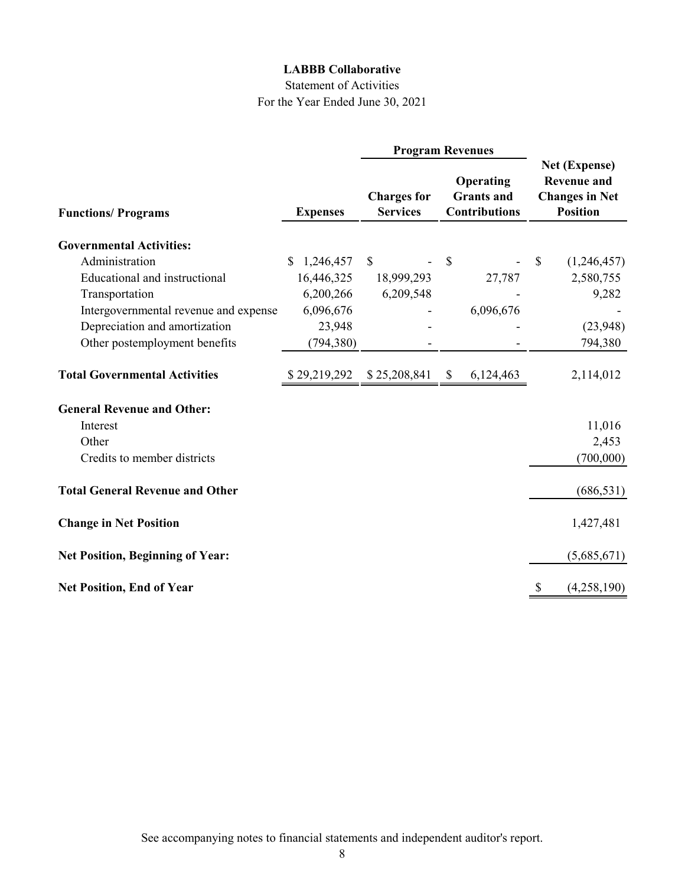#### Statement of Activities For the Year Ended June 30, 2021

|                                         |                 | <b>Program Revenues</b>               |                                                        |    |                                                                                 |
|-----------------------------------------|-----------------|---------------------------------------|--------------------------------------------------------|----|---------------------------------------------------------------------------------|
| <b>Functions/Programs</b>               | <b>Expenses</b> | <b>Charges for</b><br><b>Services</b> | Operating<br><b>Grants</b> and<br><b>Contributions</b> |    | Net (Expense)<br><b>Revenue and</b><br><b>Changes in Net</b><br><b>Position</b> |
|                                         |                 |                                       |                                                        |    |                                                                                 |
| <b>Governmental Activities:</b>         |                 |                                       |                                                        |    |                                                                                 |
| Administration                          | 1,246,457<br>\$ | <sup>S</sup>                          | \$                                                     | \$ | (1,246,457)                                                                     |
| Educational and instructional           | 16,446,325      | 18,999,293                            | 27,787                                                 |    | 2,580,755                                                                       |
| Transportation                          | 6,200,266       | 6,209,548                             |                                                        |    | 9,282                                                                           |
| Intergovernmental revenue and expense   | 6,096,676       |                                       | 6,096,676                                              |    |                                                                                 |
| Depreciation and amortization           | 23,948          |                                       |                                                        |    | (23,948)                                                                        |
| Other postemployment benefits           | (794, 380)      |                                       |                                                        |    | 794,380                                                                         |
| <b>Total Governmental Activities</b>    | \$29,219,292    | \$25,208,841                          | 6,124,463<br>\$                                        |    | 2,114,012                                                                       |
| <b>General Revenue and Other:</b>       |                 |                                       |                                                        |    |                                                                                 |
| Interest                                |                 |                                       |                                                        |    | 11,016                                                                          |
| Other                                   |                 |                                       |                                                        |    | 2,453                                                                           |
| Credits to member districts             |                 |                                       |                                                        |    | (700,000)                                                                       |
| <b>Total General Revenue and Other</b>  |                 |                                       |                                                        |    | (686, 531)                                                                      |
| <b>Change in Net Position</b>           |                 |                                       |                                                        |    | 1,427,481                                                                       |
| <b>Net Position, Beginning of Year:</b> |                 |                                       |                                                        |    | (5,685,671)                                                                     |
| <b>Net Position, End of Year</b>        |                 |                                       |                                                        | \$ | (4,258,190)                                                                     |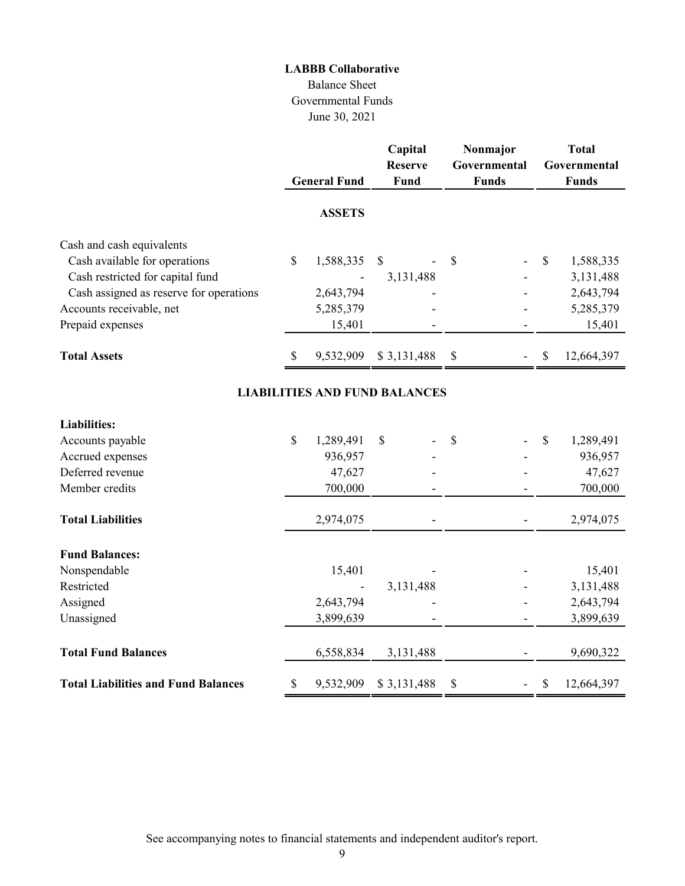#### Balance Sheet Governmental Funds June 30, 2021

|                                            |               | <b>General Fund</b> | Capital<br><b>Reserve</b><br>Fund |                           | Nonmajor<br>Governmental<br><b>Funds</b> |    | <b>Total</b><br>Governmental<br><b>Funds</b> |
|--------------------------------------------|---------------|---------------------|-----------------------------------|---------------------------|------------------------------------------|----|----------------------------------------------|
|                                            |               | <b>ASSETS</b>       |                                   |                           |                                          |    |                                              |
| Cash and cash equivalents                  |               |                     |                                   |                           |                                          |    |                                              |
| Cash available for operations              | $\mathbb{S}$  | 1,588,335           | \$                                | \$                        |                                          | \$ | 1,588,335                                    |
| Cash restricted for capital fund           |               |                     | 3,131,488                         |                           |                                          |    | 3,131,488                                    |
| Cash assigned as reserve for operations    |               | 2,643,794           |                                   |                           |                                          |    | 2,643,794                                    |
| Accounts receivable, net                   |               | 5,285,379           |                                   |                           |                                          |    | 5,285,379                                    |
| Prepaid expenses                           |               | 15,401              |                                   |                           |                                          |    | 15,401                                       |
| <b>Total Assets</b>                        | $\mathcal{S}$ | 9,532,909           | \$3,131,488                       | $\boldsymbol{\mathsf{S}}$ |                                          | \$ | 12,664,397                                   |
| <b>LIABILITIES AND FUND BALANCES</b>       |               |                     |                                   |                           |                                          |    |                                              |
| <b>Liabilities:</b>                        |               |                     |                                   |                           |                                          |    |                                              |
| Accounts payable                           | $\mathbb{S}$  | 1,289,491           | \$                                | \$                        |                                          | \$ | 1,289,491                                    |
| Accrued expenses                           |               | 936,957             |                                   |                           |                                          |    | 936,957                                      |
| Deferred revenue                           |               | 47,627              |                                   |                           |                                          |    | 47,627                                       |
| Member credits                             |               | 700,000             |                                   |                           |                                          |    | 700,000                                      |
| <b>Total Liabilities</b>                   |               | 2,974,075           |                                   |                           |                                          |    | 2,974,075                                    |
| <b>Fund Balances:</b>                      |               |                     |                                   |                           |                                          |    |                                              |
| Nonspendable                               |               | 15,401              |                                   |                           |                                          |    | 15,401                                       |
| Restricted                                 |               |                     | 3,131,488                         |                           |                                          |    | 3,131,488                                    |
| Assigned                                   |               | 2,643,794           |                                   |                           |                                          |    | 2,643,794                                    |
| Unassigned                                 |               | 3,899,639           |                                   |                           |                                          |    | 3,899,639                                    |
| <b>Total Fund Balances</b>                 |               | 6,558,834           | 3,131,488                         |                           |                                          |    | 9,690,322                                    |
| <b>Total Liabilities and Fund Balances</b> | \$            | 9,532,909           | \$3,131,488                       | \$                        |                                          | \$ | 12,664,397                                   |

See accompanying notes to financial statements and independent auditor's report.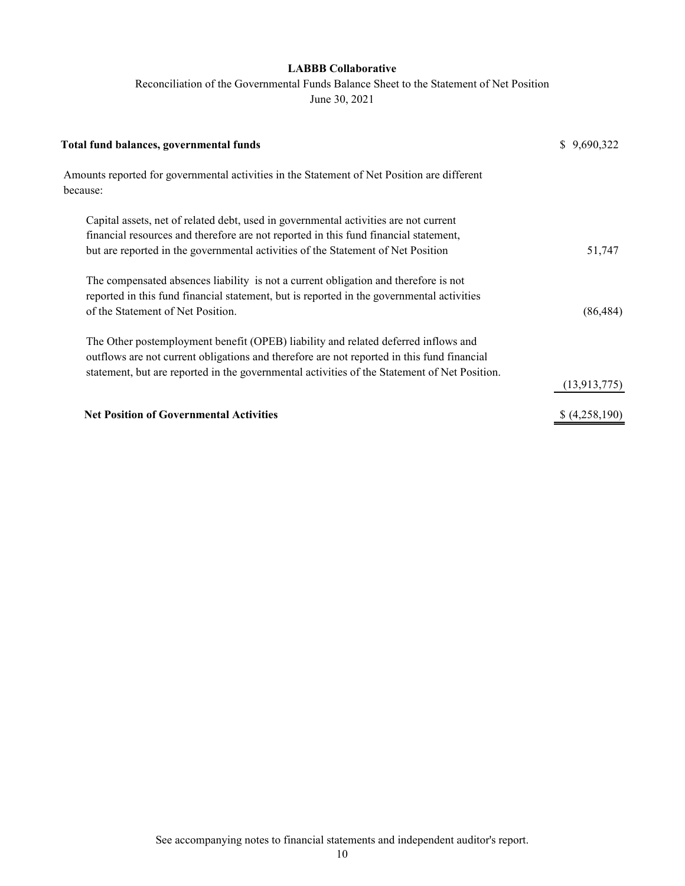Reconciliation of the Governmental Funds Balance Sheet to the Statement of Net Position

June 30, 2021

| \$9,690,322  |
|--------------|
|              |
|              |
|              |
|              |
| 51,747       |
|              |
|              |
| (86, 484)    |
|              |
|              |
|              |
| (13,913,775) |
| (4,258,190)  |
|              |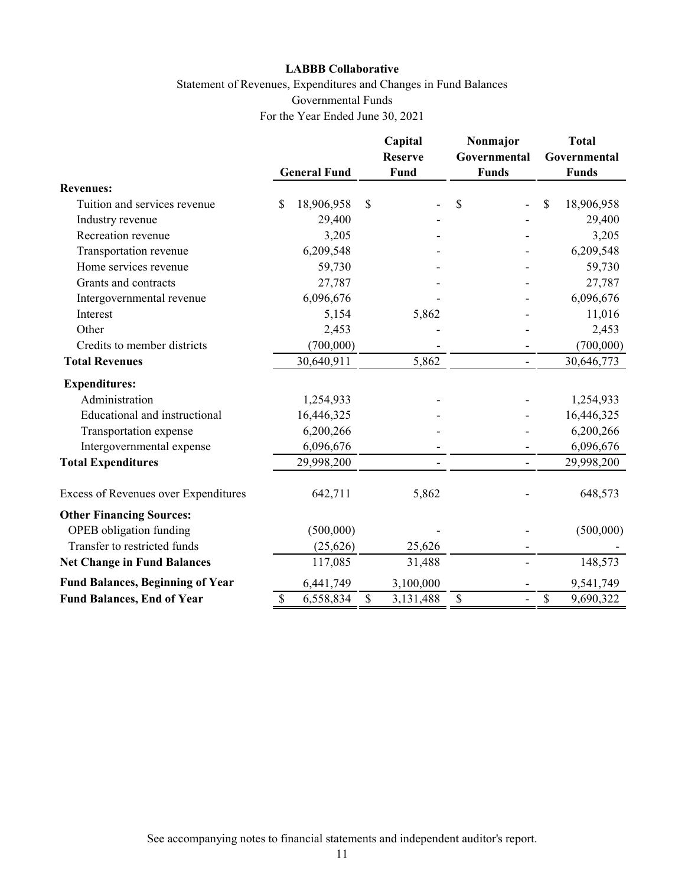#### Statement of Revenues, Expenditures and Changes in Fund Balances Governmental Funds For the Year Ended June 30, 2021

|                                         |                     | Capital<br><b>Reserve</b> | Nonmajor<br>Governmental | <b>Total</b><br>Governmental |
|-----------------------------------------|---------------------|---------------------------|--------------------------|------------------------------|
|                                         | <b>General Fund</b> | Fund                      | <b>Funds</b>             | <b>Funds</b>                 |
| <b>Revenues:</b>                        |                     |                           |                          |                              |
| Tuition and services revenue            | \$<br>18,906,958    | \$                        | \$                       | \$<br>18,906,958             |
| Industry revenue                        | 29,400              |                           |                          | 29,400                       |
| Recreation revenue                      | 3,205               |                           |                          | 3,205                        |
| Transportation revenue                  | 6,209,548           |                           |                          | 6,209,548                    |
| Home services revenue                   | 59,730              |                           |                          | 59,730                       |
| Grants and contracts                    | 27,787              |                           |                          | 27,787                       |
| Intergovernmental revenue               | 6,096,676           |                           |                          | 6,096,676                    |
| Interest                                | 5,154               | 5,862                     |                          | 11,016                       |
| Other                                   | 2,453               |                           |                          | 2,453                        |
| Credits to member districts             | (700,000)           |                           |                          | (700,000)                    |
| <b>Total Revenues</b>                   | 30,640,911          | 5,862                     |                          | 30,646,773                   |
| <b>Expenditures:</b>                    |                     |                           |                          |                              |
| Administration                          | 1,254,933           |                           |                          | 1,254,933                    |
| Educational and instructional           | 16,446,325          |                           |                          | 16,446,325                   |
| Transportation expense                  | 6,200,266           |                           |                          | 6,200,266                    |
| Intergovernmental expense               | 6,096,676           |                           |                          | 6,096,676                    |
| <b>Total Expenditures</b>               | 29,998,200          |                           |                          | 29,998,200                   |
| Excess of Revenues over Expenditures    | 642,711             | 5,862                     |                          | 648,573                      |
| <b>Other Financing Sources:</b>         |                     |                           |                          |                              |
| OPEB obligation funding                 | (500,000)           |                           |                          | (500,000)                    |
| Transfer to restricted funds            | (25, 626)           | 25,626                    |                          |                              |
| <b>Net Change in Fund Balances</b>      | 117,085             | 31,488                    |                          | 148,573                      |
| <b>Fund Balances, Beginning of Year</b> | 6,441,749           | 3,100,000                 |                          | 9,541,749                    |
| <b>Fund Balances, End of Year</b>       | \$<br>6,558,834     | \$<br>3,131,488           | \$<br>$\blacksquare$     | \$<br>9,690,322              |

See accompanying notes to financial statements and independent auditor's report.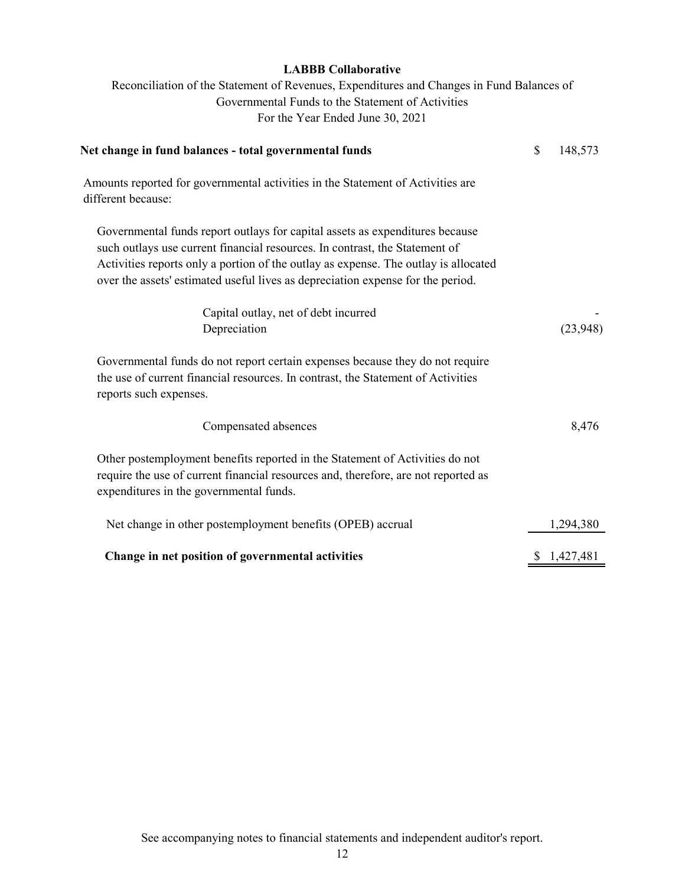Reconciliation of the Statement of Revenues, Expenditures and Changes in Fund Balances of Governmental Funds to the Statement of Activities For the Year Ended June 30, 2021

| Net change in fund balances - total governmental funds                                                                                                                                                                                                                                                                                | \$<br>148,573 |
|---------------------------------------------------------------------------------------------------------------------------------------------------------------------------------------------------------------------------------------------------------------------------------------------------------------------------------------|---------------|
| Amounts reported for governmental activities in the Statement of Activities are<br>different because:                                                                                                                                                                                                                                 |               |
| Governmental funds report outlays for capital assets as expenditures because<br>such outlays use current financial resources. In contrast, the Statement of<br>Activities reports only a portion of the outlay as expense. The outlay is allocated<br>over the assets' estimated useful lives as depreciation expense for the period. |               |
| Capital outlay, net of debt incurred                                                                                                                                                                                                                                                                                                  |               |
| Depreciation                                                                                                                                                                                                                                                                                                                          | (23,948)      |
| Governmental funds do not report certain expenses because they do not require<br>the use of current financial resources. In contrast, the Statement of Activities<br>reports such expenses.                                                                                                                                           |               |
| Compensated absences                                                                                                                                                                                                                                                                                                                  | 8,476         |
| Other postemployment benefits reported in the Statement of Activities do not<br>require the use of current financial resources and, therefore, are not reported as<br>expenditures in the governmental funds.                                                                                                                         |               |
| Net change in other postemployment benefits (OPEB) accrual                                                                                                                                                                                                                                                                            | 1,294,380     |
| Change in net position of governmental activities                                                                                                                                                                                                                                                                                     | \$1,427,481   |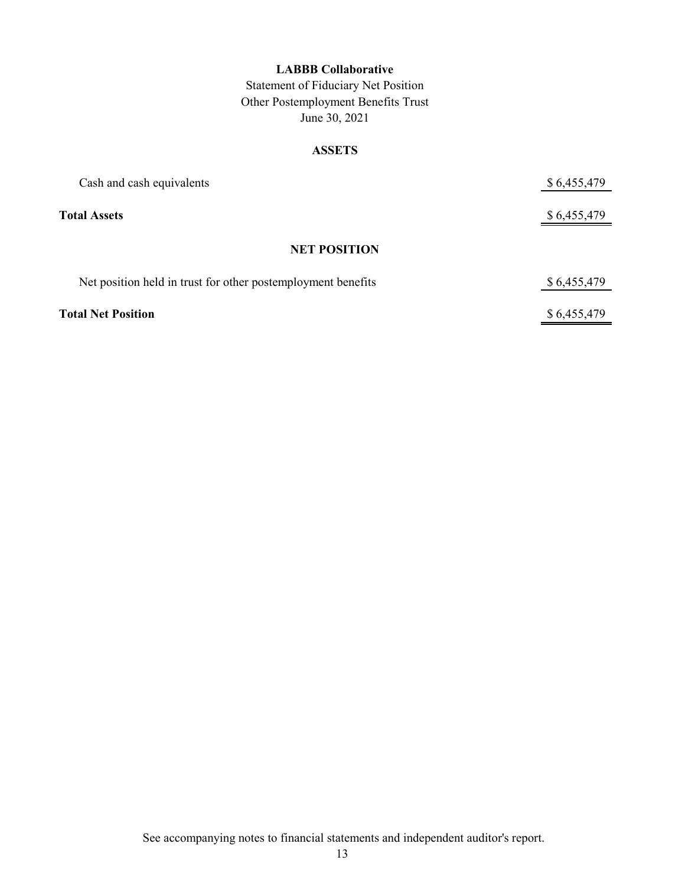Statement of Fiduciary Net Position Other Postemployment Benefits Trust June 30, 2021

#### **ASSETS**

| Cash and cash equivalents                                    | \$6,455,479 |
|--------------------------------------------------------------|-------------|
| <b>Total Assets</b>                                          | \$6,455,479 |
| <b>NET POSITION</b>                                          |             |
| Net position held in trust for other postemployment benefits | \$6,455,479 |
| <b>Total Net Position</b>                                    | \$6,455,479 |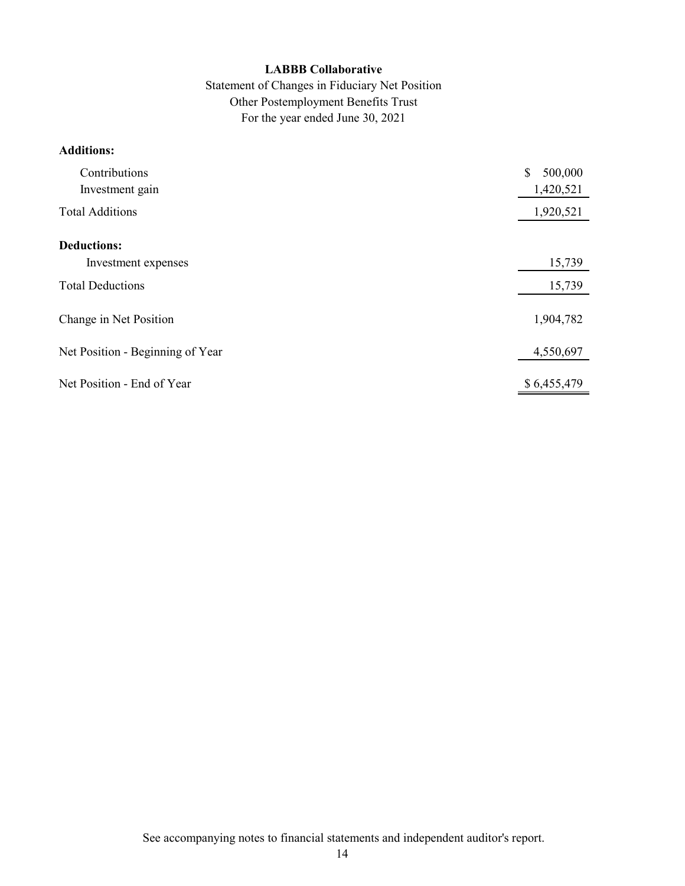#### Statement of Changes in Fiduciary Net Position Other Postemployment Benefits Trust For the year ended June 30, 2021

#### **Additions:**

| Contributions<br>Investment gain | \$<br>500,000<br>1,420,521 |
|----------------------------------|----------------------------|
| <b>Total Additions</b>           | 1,920,521                  |
| <b>Deductions:</b>               |                            |
| Investment expenses              | 15,739                     |
| <b>Total Deductions</b>          | 15,739                     |
| Change in Net Position           | 1,904,782                  |
| Net Position - Beginning of Year | 4,550,697                  |
| Net Position - End of Year       | \$6,455,479                |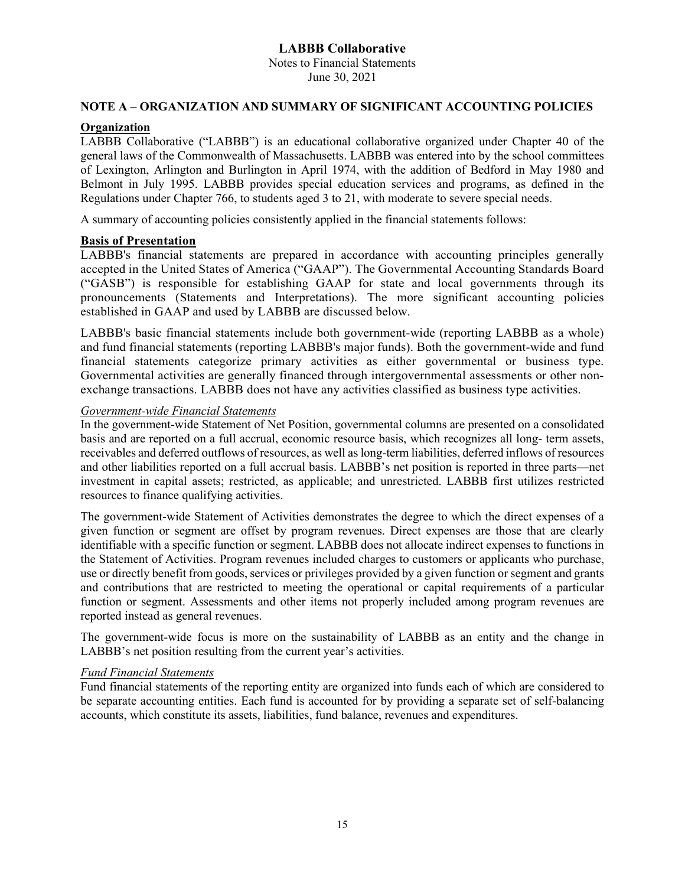Notes to Financial Statements June 30, 2021

#### **NOTE A – ORGANIZATION AND SUMMARY OF SIGNIFICANT ACCOUNTING POLICIES**

#### **Organization**

LABBB Collaborative ("LABBB") is an educational collaborative organized under Chapter 40 of the general laws of the Commonwealth of Massachusetts. LABBB was entered into by the school committees of Lexington, Arlington and Burlington in April 1974, with the addition of Bedford in May 1980 and Belmont in July 1995. LABBB provides special education services and programs, as defined in the Regulations under Chapter 766, to students aged 3 to 21, with moderate to severe special needs.

A summary of accounting policies consistently applied in the financial statements follows:

#### **Basis of Presentation**

LABBB's financial statements are prepared in accordance with accounting principles generally accepted in the United States of America ("GAAP"). The Governmental Accounting Standards Board ("GASB") is responsible for establishing GAAP for state and local governments through its pronouncements (Statements and Interpretations). The more significant accounting policies established in GAAP and used by LABBB are discussed below.

LABBB's basic financial statements include both government-wide (reporting LABBB as a whole) and fund financial statements (reporting LABBB's major funds). Both the government-wide and fund financial statements categorize primary activities as either governmental or business type. Governmental activities are generally financed through intergovernmental assessments or other nonexchange transactions. LABBB does not have any activities classified as business type activities.

#### *Government-wide Financial Statements*

In the government-wide Statement of Net Position, governmental columns are presented on a consolidated basis and are reported on a full accrual, economic resource basis, which recognizes all long- term assets, receivables and deferred outflows of resources, as well as long-term liabilities, deferred inflows of resources and other liabilities reported on a full accrual basis. LABBB's net position is reported in three parts—net investment in capital assets; restricted, as applicable; and unrestricted. LABBB first utilizes restricted resources to finance qualifying activities.

The government-wide Statement of Activities demonstrates the degree to which the direct expenses of a given function or segment are offset by program revenues. Direct expenses are those that are clearly identifiable with a specific function or segment. LABBB does not allocate indirect expenses to functions in the Statement of Activities. Program revenues included charges to customers or applicants who purchase, use or directly benefit from goods, services or privileges provided by a given function or segment and grants and contributions that are restricted to meeting the operational or capital requirements of a particular function or segment. Assessments and other items not properly included among program revenues are reported instead as general revenues.

The government-wide focus is more on the sustainability of LABBB as an entity and the change in LABBB's net position resulting from the current year's activities.

#### *Fund Financial Statements*

Fund financial statements of the reporting entity are organized into funds each of which are considered to be separate accounting entities. Each fund is accounted for by providing a separate set of self-balancing accounts, which constitute its assets, liabilities, fund balance, revenues and expenditures.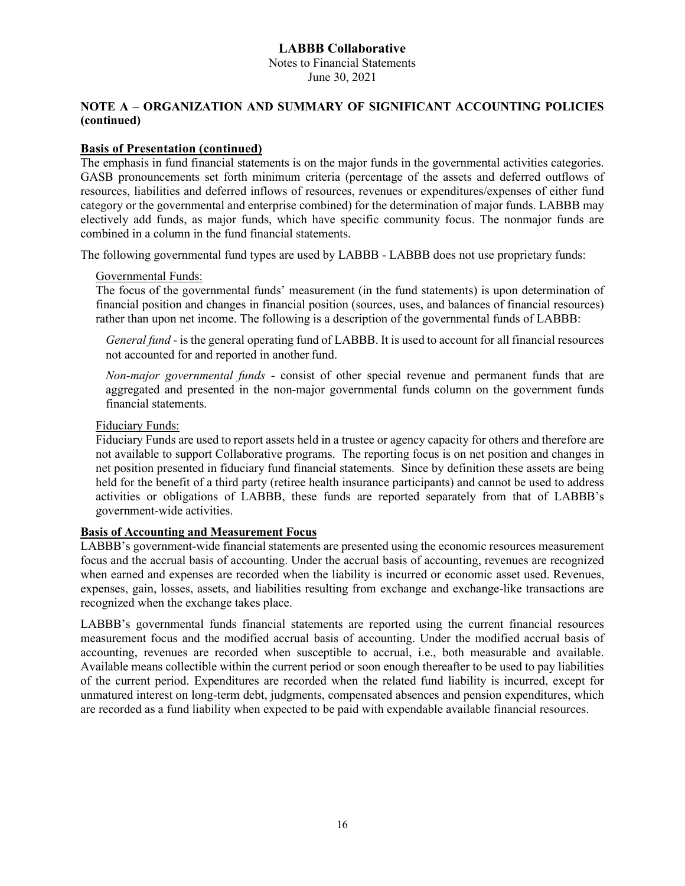Notes to Financial Statements June 30, 2021

#### **NOTE A – ORGANIZATION AND SUMMARY OF SIGNIFICANT ACCOUNTING POLICIES (continued)**

#### **Basis of Presentation (continued)**

The emphasis in fund financial statements is on the major funds in the governmental activities categories. GASB pronouncements set forth minimum criteria (percentage of the assets and deferred outflows of resources, liabilities and deferred inflows of resources, revenues or expenditures/expenses of either fund category or the governmental and enterprise combined) for the determination of major funds. LABBB may electively add funds, as major funds, which have specific community focus. The nonmajor funds are combined in a column in the fund financial statements.

The following governmental fund types are used by LABBB - LABBB does not use proprietary funds:

#### Governmental Funds:

The focus of the governmental funds' measurement (in the fund statements) is upon determination of financial position and changes in financial position (sources, uses, and balances of financial resources) rather than upon net income. The following is a description of the governmental funds of LABBB:

*General fund* - is the general operating fund of LABBB. It is used to account for all financial resources not accounted for and reported in another fund.

*Non-major governmental funds* - consist of other special revenue and permanent funds that are aggregated and presented in the non-major governmental funds column on the government funds financial statements.

#### Fiduciary Funds:

Fiduciary Funds are used to report assets held in a trustee or agency capacity for others and therefore are not available to support Collaborative programs. The reporting focus is on net position and changes in net position presented in fiduciary fund financial statements. Since by definition these assets are being held for the benefit of a third party (retiree health insurance participants) and cannot be used to address activities or obligations of LABBB, these funds are reported separately from that of LABBB's government-wide activities.

#### **Basis of Accounting and Measurement Focus**

LABBB's government-wide financial statements are presented using the economic resources measurement focus and the accrual basis of accounting. Under the accrual basis of accounting, revenues are recognized when earned and expenses are recorded when the liability is incurred or economic asset used. Revenues, expenses, gain, losses, assets, and liabilities resulting from exchange and exchange-like transactions are recognized when the exchange takes place.

LABBB's governmental funds financial statements are reported using the current financial resources measurement focus and the modified accrual basis of accounting. Under the modified accrual basis of accounting, revenues are recorded when susceptible to accrual, i.e., both measurable and available. Available means collectible within the current period or soon enough thereafter to be used to pay liabilities of the current period. Expenditures are recorded when the related fund liability is incurred, except for unmatured interest on long-term debt, judgments, compensated absences and pension expenditures, which are recorded as a fund liability when expected to be paid with expendable available financial resources.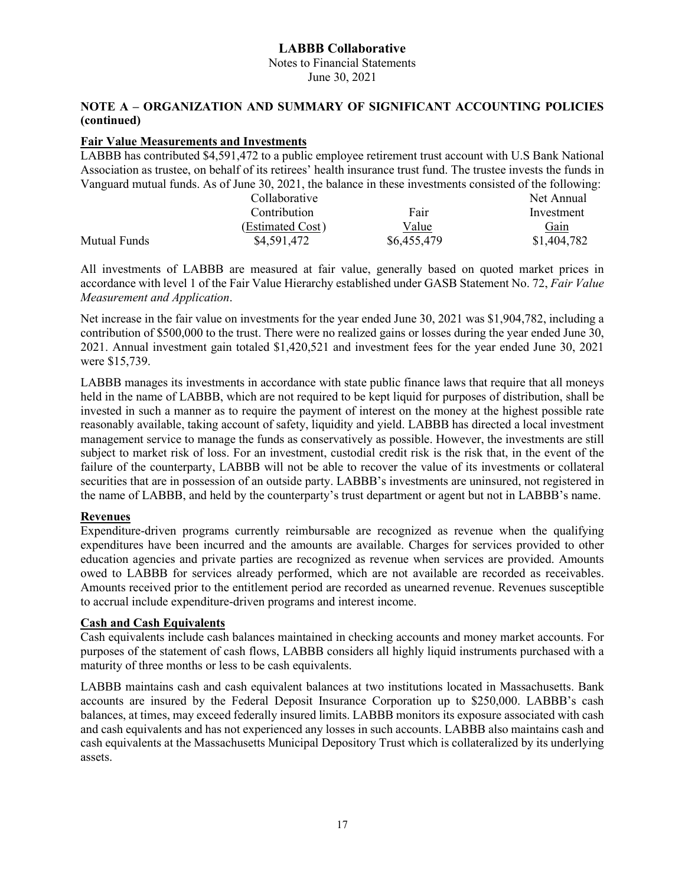Notes to Financial Statements June 30, 2021

#### **NOTE A – ORGANIZATION AND SUMMARY OF SIGNIFICANT ACCOUNTING POLICIES (continued)**

#### **Fair Value Measurements and Investments**

|                     | LABBB has contributed \$4,591,472 to a public employee retirement trust account with U.S Bank National           |             |             |
|---------------------|------------------------------------------------------------------------------------------------------------------|-------------|-------------|
|                     | Association as trustee, on behalf of its retirees' health insurance trust fund. The trustee invests the funds in |             |             |
|                     | Vanguard mutual funds. As of June 30, 2021, the balance in these investments consisted of the following:         |             |             |
|                     | Collaborative                                                                                                    |             | Net Annual  |
|                     | Contribution                                                                                                     | Fair        | Investment  |
|                     | (Estimated Cost)                                                                                                 | Value       | Gain        |
| <b>Mutual Funds</b> | \$4,591,472                                                                                                      | \$6,455,479 | \$1,404,782 |

All investments of LABBB are measured at fair value, generally based on quoted market prices in accordance with level 1 of the Fair Value Hierarchy established under GASB Statement No. 72, *Fair Value Measurement and Application*.

Net increase in the fair value on investments for the year ended June 30, 2021 was \$1,904,782, including a contribution of \$500,000 to the trust. There were no realized gains or losses during the year ended June 30, 2021. Annual investment gain totaled \$1,420,521 and investment fees for the year ended June 30, 2021 were \$15,739.

LABBB manages its investments in accordance with state public finance laws that require that all moneys held in the name of LABBB, which are not required to be kept liquid for purposes of distribution, shall be invested in such a manner as to require the payment of interest on the money at the highest possible rate reasonably available, taking account of safety, liquidity and yield. LABBB has directed a local investment management service to manage the funds as conservatively as possible. However, the investments are still subject to market risk of loss. For an investment, custodial credit risk is the risk that, in the event of the failure of the counterparty, LABBB will not be able to recover the value of its investments or collateral securities that are in possession of an outside party. LABBB's investments are uninsured, not registered in the name of LABBB, and held by the counterparty's trust department or agent but not in LABBB's name.

#### **Revenues**

Expenditure-driven programs currently reimbursable are recognized as revenue when the qualifying expenditures have been incurred and the amounts are available. Charges for services provided to other education agencies and private parties are recognized as revenue when services are provided. Amounts owed to LABBB for services already performed, which are not available are recorded as receivables. Amounts received prior to the entitlement period are recorded as unearned revenue. Revenues susceptible to accrual include expenditure-driven programs and interest income.

#### **Cash and Cash Equivalents**

Cash equivalents include cash balances maintained in checking accounts and money market accounts. For purposes of the statement of cash flows, LABBB considers all highly liquid instruments purchased with a maturity of three months or less to be cash equivalents.

LABBB maintains cash and cash equivalent balances at two institutions located in Massachusetts. Bank accounts are insured by the Federal Deposit Insurance Corporation up to \$250,000. LABBB's cash balances, at times, may exceed federally insured limits. LABBB monitors its exposure associated with cash and cash equivalents and has not experienced any losses in such accounts. LABBB also maintains cash and cash equivalents at the Massachusetts Municipal Depository Trust which is collateralized by its underlying assets.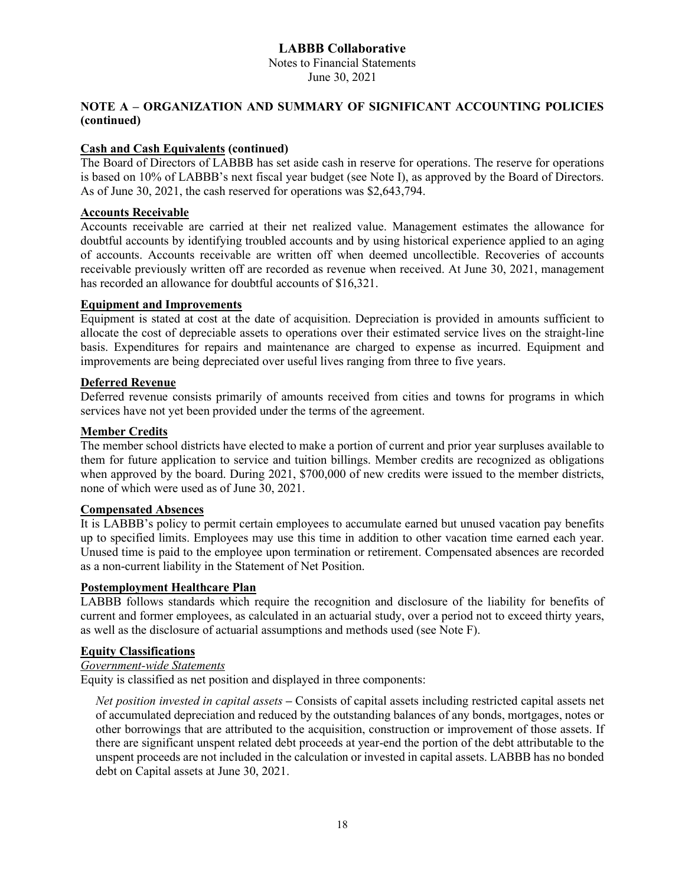Notes to Financial Statements June 30, 2021

#### **NOTE A – ORGANIZATION AND SUMMARY OF SIGNIFICANT ACCOUNTING POLICIES (continued)**

#### **Cash and Cash Equivalents (continued)**

The Board of Directors of LABBB has set aside cash in reserve for operations. The reserve for operations is based on 10% of LABBB's next fiscal year budget (see Note I), as approved by the Board of Directors. As of June 30, 2021, the cash reserved for operations was \$2,643,794.

#### **Accounts Receivable**

Accounts receivable are carried at their net realized value. Management estimates the allowance for doubtful accounts by identifying troubled accounts and by using historical experience applied to an aging of accounts. Accounts receivable are written off when deemed uncollectible. Recoveries of accounts receivable previously written off are recorded as revenue when received. At June 30, 2021, management has recorded an allowance for doubtful accounts of \$16,321.

#### **Equipment and Improvements**

Equipment is stated at cost at the date of acquisition. Depreciation is provided in amounts sufficient to allocate the cost of depreciable assets to operations over their estimated service lives on the straight-line basis. Expenditures for repairs and maintenance are charged to expense as incurred. Equipment and improvements are being depreciated over useful lives ranging from three to five years.

#### **Deferred Revenue**

Deferred revenue consists primarily of amounts received from cities and towns for programs in which services have not yet been provided under the terms of the agreement.

#### **Member Credits**

The member school districts have elected to make a portion of current and prior year surpluses available to them for future application to service and tuition billings. Member credits are recognized as obligations when approved by the board. During 2021, \$700,000 of new credits were issued to the member districts, none of which were used as of June 30, 2021.

#### **Compensated Absences**

It is LABBB's policy to permit certain employees to accumulate earned but unused vacation pay benefits up to specified limits. Employees may use this time in addition to other vacation time earned each year. Unused time is paid to the employee upon termination or retirement. Compensated absences are recorded as a non-current liability in the Statement of Net Position.

#### **Postemployment Healthcare Plan**

LABBB follows standards which require the recognition and disclosure of the liability for benefits of current and former employees, as calculated in an actuarial study, over a period not to exceed thirty years, as well as the disclosure of actuarial assumptions and methods used (see Note F).

#### **Equity Classifications**

#### *Government-wide Statements*

Equity is classified as net position and displayed in three components:

*Net position invested in capital assets* **–** Consists of capital assets including restricted capital assets net of accumulated depreciation and reduced by the outstanding balances of any bonds, mortgages, notes or other borrowings that are attributed to the acquisition, construction or improvement of those assets. If there are significant unspent related debt proceeds at year-end the portion of the debt attributable to the unspent proceeds are not included in the calculation or invested in capital assets. LABBB has no bonded debt on Capital assets at June 30, 2021.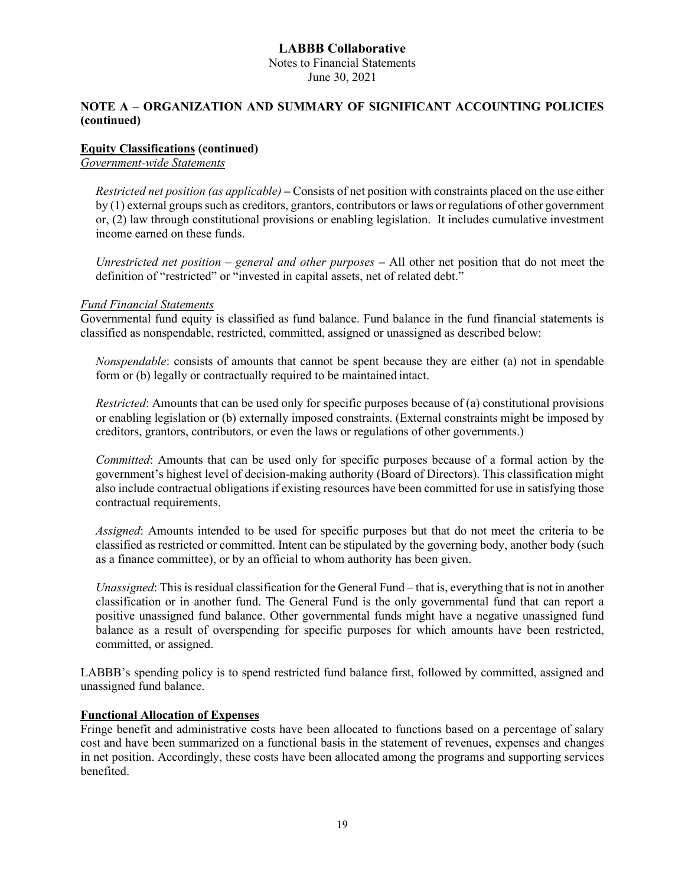Notes to Financial Statements June 30, 2021

#### **NOTE A – ORGANIZATION AND SUMMARY OF SIGNIFICANT ACCOUNTING POLICIES (continued)**

#### **Equity Classifications (continued)**

*Government-wide Statements*

*Restricted net position (as applicable)* **–** Consists of net position with constraints placed on the use either by (1) external groups such as creditors, grantors, contributors or laws or regulations of other government or, (2) law through constitutional provisions or enabling legislation. It includes cumulative investment income earned on these funds.

*Unrestricted net position – general and other purposes* **–** All other net position that do not meet the definition of "restricted" or "invested in capital assets, net of related debt."

#### *Fund Financial Statements*

Governmental fund equity is classified as fund balance. Fund balance in the fund financial statements is classified as nonspendable, restricted, committed, assigned or unassigned as described below:

*Nonspendable*: consists of amounts that cannot be spent because they are either (a) not in spendable form or (b) legally or contractually required to be maintained intact.

*Restricted*: Amounts that can be used only for specific purposes because of (a) constitutional provisions or enabling legislation or (b) externally imposed constraints. (External constraints might be imposed by creditors, grantors, contributors, or even the laws or regulations of other governments.)

*Committed*: Amounts that can be used only for specific purposes because of a formal action by the government's highest level of decision-making authority (Board of Directors). This classification might also include contractual obligations if existing resources have been committed for use in satisfying those contractual requirements.

*Assigned*: Amounts intended to be used for specific purposes but that do not meet the criteria to be classified as restricted or committed. Intent can be stipulated by the governing body, another body (such as a finance committee), or by an official to whom authority has been given.

*Unassigned*: This is residual classification for the General Fund – that is, everything that is not in another classification or in another fund. The General Fund is the only governmental fund that can report a positive unassigned fund balance. Other governmental funds might have a negative unassigned fund balance as a result of overspending for specific purposes for which amounts have been restricted, committed, or assigned.

LABBB's spending policy is to spend restricted fund balance first, followed by committed, assigned and unassigned fund balance.

#### **Functional Allocation of Expenses**

Fringe benefit and administrative costs have been allocated to functions based on a percentage of salary cost and have been summarized on a functional basis in the statement of revenues, expenses and changes in net position. Accordingly, these costs have been allocated among the programs and supporting services benefited.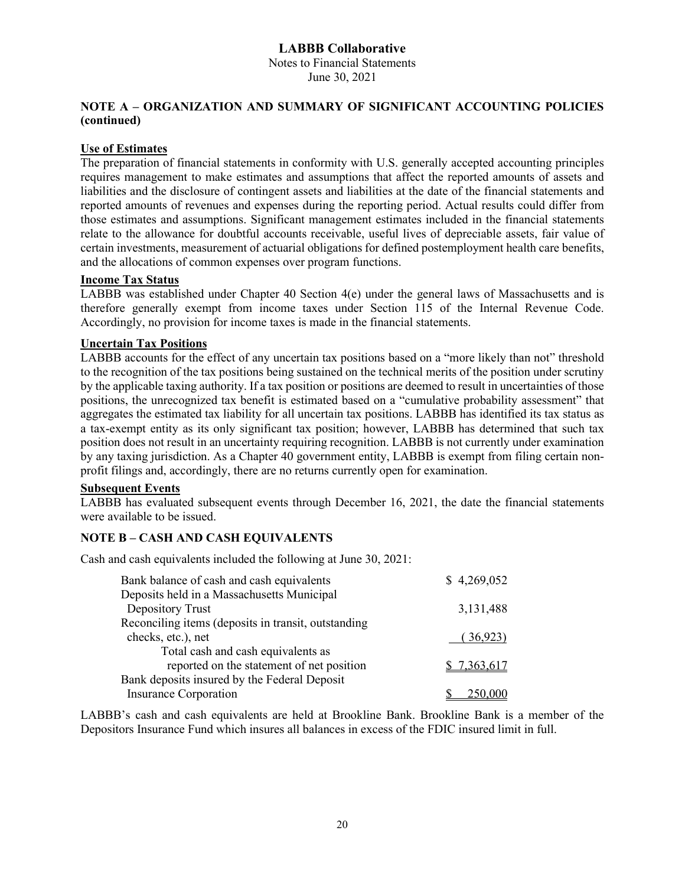Notes to Financial Statements June 30, 2021

#### **NOTE A – ORGANIZATION AND SUMMARY OF SIGNIFICANT ACCOUNTING POLICIES (continued)**

#### **Use of Estimates**

The preparation of financial statements in conformity with U.S. generally accepted accounting principles requires management to make estimates and assumptions that affect the reported amounts of assets and liabilities and the disclosure of contingent assets and liabilities at the date of the financial statements and reported amounts of revenues and expenses during the reporting period. Actual results could differ from those estimates and assumptions. Significant management estimates included in the financial statements relate to the allowance for doubtful accounts receivable, useful lives of depreciable assets, fair value of certain investments, measurement of actuarial obligations for defined postemployment health care benefits, and the allocations of common expenses over program functions.

#### **Income Tax Status**

LABBB was established under Chapter 40 Section 4(e) under the general laws of Massachusetts and is therefore generally exempt from income taxes under Section 115 of the Internal Revenue Code. Accordingly, no provision for income taxes is made in the financial statements.

#### **Uncertain Tax Positions**

LABBB accounts for the effect of any uncertain tax positions based on a "more likely than not" threshold to the recognition of the tax positions being sustained on the technical merits of the position under scrutiny by the applicable taxing authority. If a tax position or positions are deemed to result in uncertainties of those positions, the unrecognized tax benefit is estimated based on a "cumulative probability assessment" that aggregates the estimated tax liability for all uncertain tax positions. LABBB has identified its tax status as a tax-exempt entity as its only significant tax position; however, LABBB has determined that such tax position does not result in an uncertainty requiring recognition. LABBB is not currently under examination by any taxing jurisdiction. As a Chapter 40 government entity, LABBB is exempt from filing certain nonprofit filings and, accordingly, there are no returns currently open for examination.

#### **Subsequent Events**

LABBB has evaluated subsequent events through December 16, 2021, the date the financial statements were available to be issued.

#### **NOTE B – CASH AND CASH EQUIVALENTS**

Cash and cash equivalents included the following at June 30, 2021:

| Bank balance of cash and cash equivalents           | \$4,269,052 |
|-----------------------------------------------------|-------------|
| Deposits held in a Massachusetts Municipal          |             |
| Depository Trust                                    | 3,131,488   |
| Reconciling items (deposits in transit, outstanding |             |
| checks, etc.), net                                  | (36,923)    |
| Total cash and cash equivalents as                  |             |
| reported on the statement of net position           | 7.363.617   |
| Bank deposits insured by the Federal Deposit        |             |
| <b>Insurance Corporation</b>                        |             |
|                                                     |             |

LABBB's cash and cash equivalents are held at Brookline Bank. Brookline Bank is a member of the Depositors Insurance Fund which insures all balances in excess of the FDIC insured limit in full.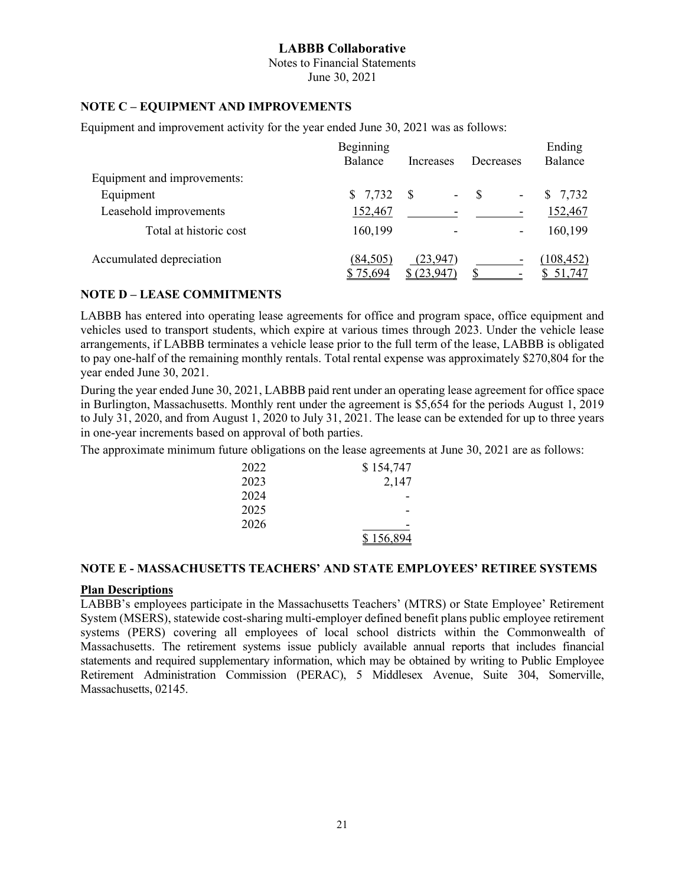Notes to Financial Statements June 30, 2021

#### **NOTE C – EQUIPMENT AND IMPROVEMENTS**

Equipment and improvement activity for the year ended June 30, 2021 was as follows:

|                             | Beginning             |                        |                          | Ending               |
|-----------------------------|-----------------------|------------------------|--------------------------|----------------------|
|                             | Balance               | Increases              | Decreases                | Balance              |
| Equipment and improvements: |                       |                        |                          |                      |
| Equipment                   | \$7,732               | -S<br>$\blacksquare$   | $\mathcal{S}$<br>٠       | 7,732<br>\$          |
| Leasehold improvements      | 152,467               |                        |                          | 152,467              |
| Total at historic cost      | 160,199               |                        | $\overline{\phantom{a}}$ | 160,199              |
| Accumulated depreciation    | (84, 505)<br>\$75,694 | (23,947)<br>\$(23,947) | $\overline{\phantom{a}}$ | (108, 452)<br>51,747 |

#### **NOTE D – LEASE COMMITMENTS**

LABBB has entered into operating lease agreements for office and program space, office equipment and vehicles used to transport students, which expire at various times through 2023. Under the vehicle lease arrangements, if LABBB terminates a vehicle lease prior to the full term of the lease, LABBB is obligated to pay one-half of the remaining monthly rentals. Total rental expense was approximately \$270,804 for the year ended June 30, 2021.

During the year ended June 30, 2021, LABBB paid rent under an operating lease agreement for office space in Burlington, Massachusetts. Monthly rent under the agreement is \$5,654 for the periods August 1, 2019 to July 31, 2020, and from August 1, 2020 to July 31, 2021. The lease can be extended for up to three years in one-year increments based on approval of both parties.

The approximate minimum future obligations on the lease agreements at June 30, 2021 are as follows:

| 2022 | \$154,747 |
|------|-----------|
| 2023 | 2,147     |
| 2024 |           |
| 2025 |           |
| 2026 |           |
|      | \$156,894 |

#### **NOTE E - MASSACHUSETTS TEACHERS' AND STATE EMPLOYEES' RETIREE SYSTEMS**

#### **Plan Descriptions**

LABBB's employees participate in the Massachusetts Teachers' (MTRS) or State Employee' Retirement System (MSERS), statewide cost-sharing multi-employer defined benefit plans public employee retirement systems (PERS) covering all employees of local school districts within the Commonwealth of Massachusetts. The retirement systems issue publicly available annual reports that includes financial statements and required supplementary information, which may be obtained by writing to Public Employee Retirement Administration Commission (PERAC), 5 Middlesex Avenue, Suite 304, Somerville, Massachusetts, 02145.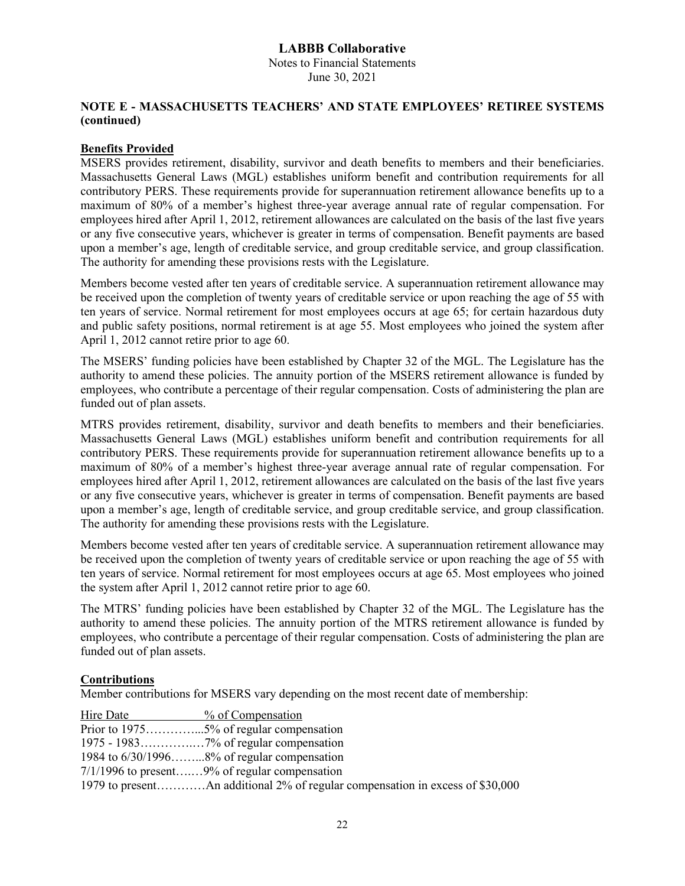Notes to Financial Statements June 30, 2021

#### **NOTE E - MASSACHUSETTS TEACHERS' AND STATE EMPLOYEES' RETIREE SYSTEMS (continued)**

#### **Benefits Provided**

MSERS provides retirement, disability, survivor and death benefits to members and their beneficiaries. Massachusetts General Laws (MGL) establishes uniform benefit and contribution requirements for all contributory PERS. These requirements provide for superannuation retirement allowance benefits up to a maximum of 80% of a member's highest three-year average annual rate of regular compensation. For employees hired after April 1, 2012, retirement allowances are calculated on the basis of the last five years or any five consecutive years, whichever is greater in terms of compensation. Benefit payments are based upon a member's age, length of creditable service, and group creditable service, and group classification. The authority for amending these provisions rests with the Legislature.

Members become vested after ten years of creditable service. A superannuation retirement allowance may be received upon the completion of twenty years of creditable service or upon reaching the age of 55 with ten years of service. Normal retirement for most employees occurs at age 65; for certain hazardous duty and public safety positions, normal retirement is at age 55. Most employees who joined the system after April 1, 2012 cannot retire prior to age 60.

The MSERS' funding policies have been established by Chapter 32 of the MGL. The Legislature has the authority to amend these policies. The annuity portion of the MSERS retirement allowance is funded by employees, who contribute a percentage of their regular compensation. Costs of administering the plan are funded out of plan assets.

MTRS provides retirement, disability, survivor and death benefits to members and their beneficiaries. Massachusetts General Laws (MGL) establishes uniform benefit and contribution requirements for all contributory PERS. These requirements provide for superannuation retirement allowance benefits up to a maximum of 80% of a member's highest three-year average annual rate of regular compensation. For employees hired after April 1, 2012, retirement allowances are calculated on the basis of the last five years or any five consecutive years, whichever is greater in terms of compensation. Benefit payments are based upon a member's age, length of creditable service, and group creditable service, and group classification. The authority for amending these provisions rests with the Legislature.

Members become vested after ten years of creditable service. A superannuation retirement allowance may be received upon the completion of twenty years of creditable service or upon reaching the age of 55 with ten years of service. Normal retirement for most employees occurs at age 65. Most employees who joined the system after April 1, 2012 cannot retire prior to age 60.

The MTRS' funding policies have been established by Chapter 32 of the MGL. The Legislature has the authority to amend these policies. The annuity portion of the MTRS retirement allowance is funded by employees, who contribute a percentage of their regular compensation. Costs of administering the plan are funded out of plan assets.

#### **Contributions**

Member contributions for MSERS vary depending on the most recent date of membership:

| Hire Date | % of Compensation                               |
|-----------|-------------------------------------------------|
|           |                                                 |
|           |                                                 |
|           | 1984 to $6/30/1996$ 8% of regular compensation  |
|           | $7/1/1996$ to present9% of regular compensation |
|           |                                                 |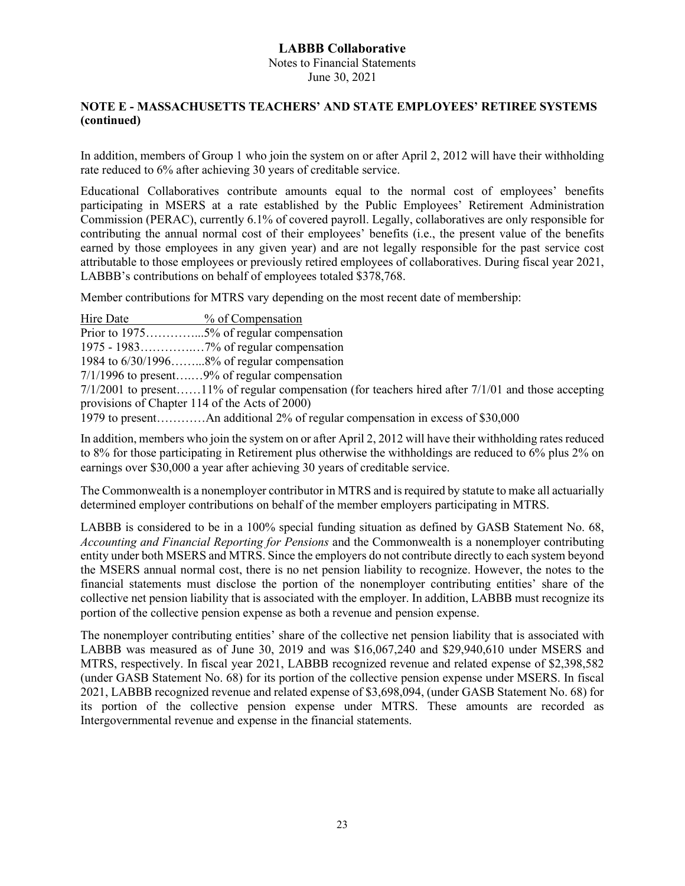Notes to Financial Statements June 30, 2021

#### **NOTE E - MASSACHUSETTS TEACHERS' AND STATE EMPLOYEES' RETIREE SYSTEMS (continued)**

In addition, members of Group 1 who join the system on or after April 2, 2012 will have their withholding rate reduced to 6% after achieving 30 years of creditable service.

Educational Collaboratives contribute amounts equal to the normal cost of employees' benefits participating in MSERS at a rate established by the Public Employees' Retirement Administration Commission (PERAC), currently 6.1% of covered payroll. Legally, collaboratives are only responsible for contributing the annual normal cost of their employees' benefits (i.e., the present value of the benefits earned by those employees in any given year) and are not legally responsible for the past service cost attributable to those employees or previously retired employees of collaboratives. During fiscal year 2021, LABBB's contributions on behalf of employees totaled \$378,768.

Member contributions for MTRS vary depending on the most recent date of membership:

| Hire Date                                      | % of Compensation                                                                                       |
|------------------------------------------------|---------------------------------------------------------------------------------------------------------|
|                                                |                                                                                                         |
|                                                |                                                                                                         |
|                                                | 1984 to $6/30/1996$ 8% of regular compensation                                                          |
|                                                | $7/1/1996$ to present9% of regular compensation                                                         |
|                                                | $7/1/2001$ to present11% of regular compensation (for teachers hired after $7/1/01$ and those accepting |
| provisions of Chapter 114 of the Acts of 2000) |                                                                                                         |
|                                                | 1979 to presentAn additional 2% of regular compensation in excess of \$30,000                           |

In addition, members who join the system on or after April 2, 2012 will have their withholding rates reduced to 8% for those participating in Retirement plus otherwise the withholdings are reduced to 6% plus 2% on earnings over \$30,000 a year after achieving 30 years of creditable service.

The Commonwealth is a nonemployer contributor in MTRS and is required by statute to make all actuarially determined employer contributions on behalf of the member employers participating in MTRS.

LABBB is considered to be in a 100% special funding situation as defined by GASB Statement No. 68, *Accounting and Financial Reporting for Pensions* and the Commonwealth is a nonemployer contributing entity under both MSERS and MTRS. Since the employers do not contribute directly to each system beyond the MSERS annual normal cost, there is no net pension liability to recognize. However, the notes to the financial statements must disclose the portion of the nonemployer contributing entities' share of the collective net pension liability that is associated with the employer. In addition, LABBB must recognize its portion of the collective pension expense as both a revenue and pension expense.

The nonemployer contributing entities' share of the collective net pension liability that is associated with LABBB was measured as of June 30, 2019 and was \$16,067,240 and \$29,940,610 under MSERS and MTRS, respectively. In fiscal year 2021, LABBB recognized revenue and related expense of \$2,398,582 (under GASB Statement No. 68) for its portion of the collective pension expense under MSERS. In fiscal 2021, LABBB recognized revenue and related expense of \$3,698,094, (under GASB Statement No. 68) for its portion of the collective pension expense under MTRS. These amounts are recorded as Intergovernmental revenue and expense in the financial statements.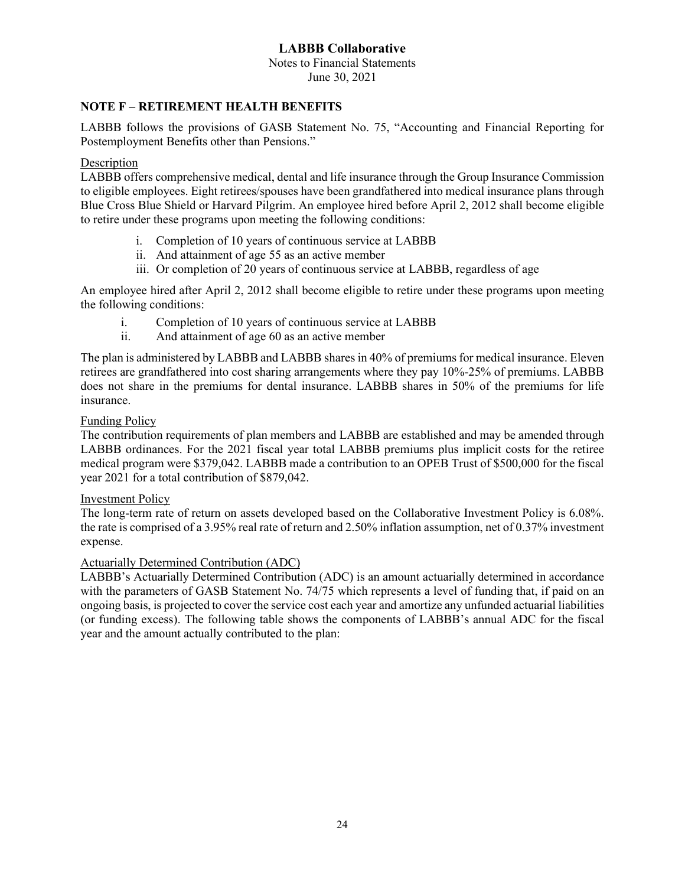Notes to Financial Statements June 30, 2021

#### **NOTE F – RETIREMENT HEALTH BENEFITS**

LABBB follows the provisions of GASB Statement No. 75, "Accounting and Financial Reporting for Postemployment Benefits other than Pensions."

#### Description

LABBB offers comprehensive medical, dental and life insurance through the Group Insurance Commission to eligible employees. Eight retirees/spouses have been grandfathered into medical insurance plans through Blue Cross Blue Shield or Harvard Pilgrim. An employee hired before April 2, 2012 shall become eligible to retire under these programs upon meeting the following conditions:

- i. Completion of 10 years of continuous service at LABBB
- ii. And attainment of age 55 as an active member
- iii. Or completion of 20 years of continuous service at LABBB, regardless of age

An employee hired after April 2, 2012 shall become eligible to retire under these programs upon meeting the following conditions:

- i. Completion of 10 years of continuous service at LABBB
- ii. And attainment of age 60 as an active member

The plan is administered by LABBB and LABBB shares in 40% of premiums for medical insurance. Eleven retirees are grandfathered into cost sharing arrangements where they pay 10%-25% of premiums. LABBB does not share in the premiums for dental insurance. LABBB shares in 50% of the premiums for life insurance.

#### Funding Policy

The contribution requirements of plan members and LABBB are established and may be amended through LABBB ordinances. For the 2021 fiscal year total LABBB premiums plus implicit costs for the retiree medical program were \$379,042. LABBB made a contribution to an OPEB Trust of \$500,000 for the fiscal year 2021 for a total contribution of \$879,042.

#### Investment Policy

The long-term rate of return on assets developed based on the Collaborative Investment Policy is 6.08%. the rate is comprised of a 3.95% real rate of return and 2.50% inflation assumption, net of 0.37% investment expense.

#### Actuarially Determined Contribution (ADC)

LABBB's Actuarially Determined Contribution (ADC) is an amount actuarially determined in accordance with the parameters of GASB Statement No. 74/75 which represents a level of funding that, if paid on an ongoing basis, is projected to cover the service cost each year and amortize any unfunded actuarial liabilities (or funding excess). The following table shows the components of LABBB's annual ADC for the fiscal year and the amount actually contributed to the plan: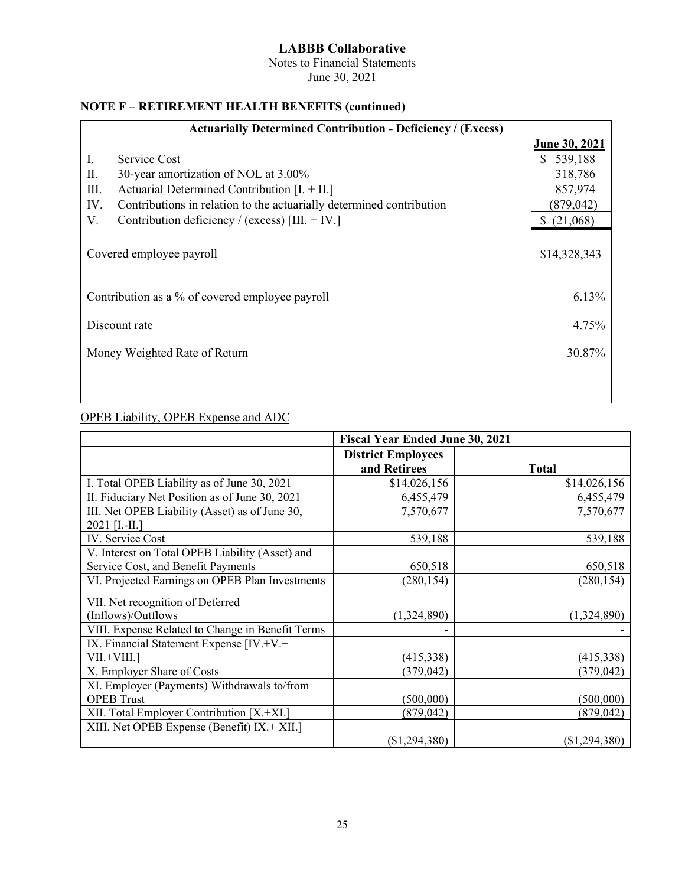Notes to Financial Statements June 30, 2021

#### **NOTE F – RETIREMENT HEALTH BENEFITS (continued)**

| <b>Actuarially Determined Contribution - Deficiency / (Excess)</b> |                                                                      |                      |  |
|--------------------------------------------------------------------|----------------------------------------------------------------------|----------------------|--|
|                                                                    |                                                                      | <b>June 30, 2021</b> |  |
| Ι.                                                                 | Service Cost                                                         | \$539,188            |  |
| П.                                                                 | 30-year amortization of NOL at 3.00%                                 | 318,786              |  |
| III.                                                               | Actuarial Determined Contribution $[I. + II.]$                       | 857,974              |  |
| IV.                                                                | Contributions in relation to the actuarially determined contribution | (879, 042)           |  |
| V.                                                                 | Contribution deficiency / (excess) [III. $+$ IV.]                    | \$(21,068)           |  |
|                                                                    | Covered employee payroll                                             | \$14,328,343         |  |
|                                                                    | Contribution as a % of covered employee payroll                      | 6.13%                |  |
|                                                                    | Discount rate                                                        | 4.75%                |  |
|                                                                    | Money Weighted Rate of Return                                        | 30.87%               |  |
|                                                                    |                                                                      |                      |  |

#### OPEB Liability, OPEB Expense and ADC

|                                                  | <b>Fiscal Year Ended June 30, 2021</b> |                 |  |  |  |
|--------------------------------------------------|----------------------------------------|-----------------|--|--|--|
|                                                  | <b>District Employees</b>              |                 |  |  |  |
|                                                  | and Retirees                           | <b>Total</b>    |  |  |  |
| I. Total OPEB Liability as of June 30, 2021      | \$14,026,156                           | \$14,026,156    |  |  |  |
| II. Fiduciary Net Position as of June 30, 2021   | 6,455,479                              | 6,455,479       |  |  |  |
| III. Net OPEB Liability (Asset) as of June 30,   | 7,570,677                              | 7,570,677       |  |  |  |
| 2021 [I.-II.]                                    |                                        |                 |  |  |  |
| IV. Service Cost                                 | 539,188                                | 539,188         |  |  |  |
| V. Interest on Total OPEB Liability (Asset) and  |                                        |                 |  |  |  |
| Service Cost, and Benefit Payments               | 650,518                                | 650,518         |  |  |  |
| VI. Projected Earnings on OPEB Plan Investments  | (280, 154)                             | (280, 154)      |  |  |  |
| VII. Net recognition of Deferred                 |                                        |                 |  |  |  |
| (Inflows)/Outflows                               | (1,324,890)                            | (1,324,890)     |  |  |  |
| VIII. Expense Related to Change in Benefit Terms |                                        |                 |  |  |  |
| IX. Financial Statement Expense [IV.+V.+         |                                        |                 |  |  |  |
| $VII.+VIII.]$                                    | (415,338)                              | (415, 338)      |  |  |  |
| X. Employer Share of Costs                       | (379, 042)                             | (379, 042)      |  |  |  |
| XI. Employer (Payments) Withdrawals to/from      |                                        |                 |  |  |  |
| <b>OPEB</b> Trust                                | (500,000)                              | (500,000)       |  |  |  |
| XII. Total Employer Contribution [X.+XI.]        | (879, 042)                             | (879, 042)      |  |  |  |
| XIII. Net OPEB Expense (Benefit) IX.+ XII.]      |                                        |                 |  |  |  |
|                                                  | (\$1,294,380)                          | $(\$1,294,380)$ |  |  |  |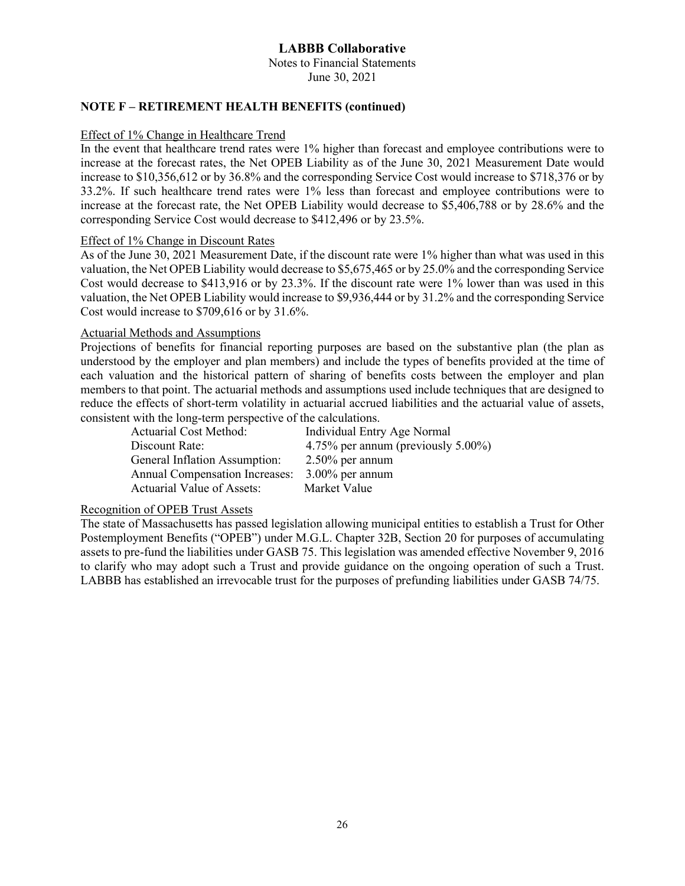Notes to Financial Statements June 30, 2021

#### **NOTE F – RETIREMENT HEALTH BENEFITS (continued)**

#### Effect of 1% Change in Healthcare Trend

In the event that healthcare trend rates were 1% higher than forecast and employee contributions were to increase at the forecast rates, the Net OPEB Liability as of the June 30, 2021 Measurement Date would increase to \$10,356,612 or by 36.8% and the corresponding Service Cost would increase to \$718,376 or by 33.2%. If such healthcare trend rates were 1% less than forecast and employee contributions were to increase at the forecast rate, the Net OPEB Liability would decrease to \$5,406,788 or by 28.6% and the corresponding Service Cost would decrease to \$412,496 or by 23.5%.

#### Effect of 1% Change in Discount Rates

As of the June 30, 2021 Measurement Date, if the discount rate were 1% higher than what was used in this valuation, the Net OPEB Liability would decrease to \$5,675,465 or by 25.0% and the corresponding Service Cost would decrease to \$413,916 or by 23.3%. If the discount rate were 1% lower than was used in this valuation, the Net OPEB Liability would increase to \$9,936,444 or by 31.2% and the corresponding Service Cost would increase to \$709,616 or by 31.6%.

#### Actuarial Methods and Assumptions

Projections of benefits for financial reporting purposes are based on the substantive plan (the plan as understood by the employer and plan members) and include the types of benefits provided at the time of each valuation and the historical pattern of sharing of benefits costs between the employer and plan members to that point. The actuarial methods and assumptions used include techniques that are designed to reduce the effects of short-term volatility in actuarial accrued liabilities and the actuarial value of assets, consistent with the long-term perspective of the calculations.

General Inflation Assumption: 2.50% per annum Annual Compensation Increases: 3.00% per annum Actuarial Value of Assets: Market Value

Individual Entry Age Normal Discount Rate: 4.75% per annum (previously 5.00%)

#### Recognition of OPEB Trust Assets

The state of Massachusetts has passed legislation allowing municipal entities to establish a Trust for Other Postemployment Benefits ("OPEB") under M.G.L. Chapter 32B, Section 20 for purposes of accumulating assets to pre-fund the liabilities under GASB 75. This legislation was amended effective November 9, 2016 to clarify who may adopt such a Trust and provide guidance on the ongoing operation of such a Trust. LABBB has established an irrevocable trust for the purposes of prefunding liabilities under GASB 74/75.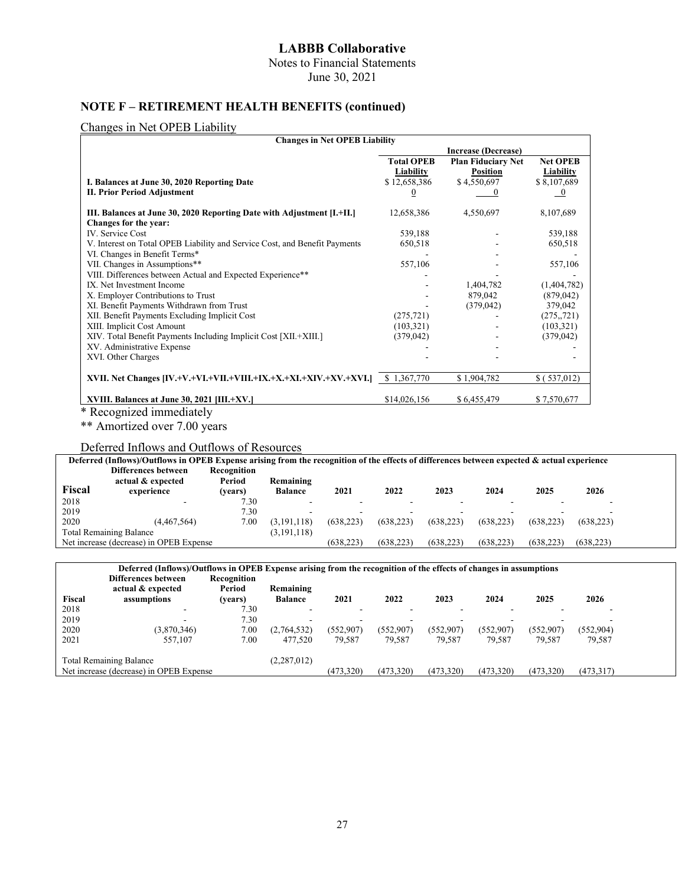Notes to Financial Statements

June 30, 2021

#### **NOTE F – RETIREMENT HEALTH BENEFITS (continued)**

#### Changes in Net OPEB Liability

| <b>Changes in Net OPEB Liability</b>                                       |                            |                           |                 |  |  |
|----------------------------------------------------------------------------|----------------------------|---------------------------|-----------------|--|--|
|                                                                            | <b>Increase (Decrease)</b> |                           |                 |  |  |
|                                                                            | <b>Total OPEB</b>          | <b>Plan Fiduciary Net</b> | <b>Net OPEB</b> |  |  |
|                                                                            | Liability                  | <b>Position</b>           | Liability       |  |  |
| I. Balances at June 30, 2020 Reporting Date                                | \$12,658,386               | \$4,550,697               | \$8,107,689     |  |  |
| <b>II. Prior Period Adjustment</b>                                         | $\bf{0}$                   |                           | $\overline{0}$  |  |  |
| III. Balances at June 30, 2020 Reporting Date with Adjustment [I.+II.]     | 12,658,386                 | 4,550,697                 | 8,107,689       |  |  |
| Changes for the year:                                                      |                            |                           |                 |  |  |
| IV. Service Cost                                                           | 539.188                    |                           | 539,188         |  |  |
| V. Interest on Total OPEB Liability and Service Cost, and Benefit Payments | 650,518                    |                           | 650,518         |  |  |
| VI. Changes in Benefit Terms*                                              |                            |                           |                 |  |  |
| VII. Changes in Assumptions**                                              | 557,106                    |                           | 557,106         |  |  |
| VIII. Differences between Actual and Expected Experience**                 |                            |                           |                 |  |  |
| IX. Net Investment Income                                                  |                            | 1,404,782                 | (1,404,782)     |  |  |
| X. Employer Contributions to Trust                                         |                            | 879,042                   | (879, 042)      |  |  |
| XI. Benefit Payments Withdrawn from Trust                                  |                            | (379, 042)                | 379,042         |  |  |
| XII. Benefit Payments Excluding Implicit Cost                              | (275, 721)                 |                           | (275, 721)      |  |  |
| XIII. Implicit Cost Amount                                                 | (103, 321)                 |                           | (103, 321)      |  |  |
| XIV. Total Benefit Payments Including Implicit Cost [XII.+XIII.]           | (379, 042)                 |                           | (379, 042)      |  |  |
| XV. Administrative Expense                                                 |                            |                           |                 |  |  |
| XVI. Other Charges                                                         |                            |                           |                 |  |  |
| XVII. Net Changes [IV.+V.+VI.+VII.+VIII.+IX.+X.+XI.+XIV.+XV.+XVI.]         | \$1,367,770                | \$1,904,782               | \$ (537,012)    |  |  |
|                                                                            |                            |                           |                 |  |  |
| XVIII. Balances at June 30, 2021 [III.+XV.]                                | \$14,026,156               | \$6,455,479               | \$7,570,677     |  |  |
| * Recognized immediately                                                   |                            |                           |                 |  |  |

\*\* Amortized over 7.00 years

#### Deferred Inflows and Outflows of Resources

|        | Deferred (Inflows)/Outflows in OPEB Expense arising from the recognition of the effects of differences between expected & actual experience |             |                          |            |            |           |            |            |            |  |
|--------|---------------------------------------------------------------------------------------------------------------------------------------------|-------------|--------------------------|------------|------------|-----------|------------|------------|------------|--|
|        | Differences between                                                                                                                         | Recognition |                          |            |            |           |            |            |            |  |
|        | actual & expected                                                                                                                           | Period      | Remaining                |            |            |           |            |            |            |  |
| Fiscal | experience                                                                                                                                  | (vears)     | <b>Balance</b>           | 2021       | 2022       | 2023      | 2024       | 2025       | 2026       |  |
| 2018   |                                                                                                                                             | 7.30        | $\overline{\phantom{0}}$ | -          |            |           |            |            |            |  |
| 2019   |                                                                                                                                             | 7.30        | $\overline{\phantom{a}}$ | ۰          |            |           |            |            |            |  |
| 2020   | (4.467.564)                                                                                                                                 | 7.00        | (3.191.118)              | (638.223)  | (638.223)  | (638.223) | (638.223)  | (638.223)  | (638.223)  |  |
|        | <b>Total Remaining Balance</b>                                                                                                              |             | (3, 191, 118)            |            |            |           |            |            |            |  |
|        | Net increase (decrease) in OPEB Expense                                                                                                     |             |                          | (638, 223) | (638, 223) | (638.223) | (638, 223) | (638, 223) | (638, 223) |  |

#### **Deferred (Inflows)/Outflows in OPEB Expense arising from the recognition of the effects of changes in assumptions**

| Fiscal | Differences between<br>actual & expected<br>assumptions | Recognition<br>Period<br>(vears) | Remaining<br><b>Balance</b> | 2021      | 2022      | 2023      | 2024      | 2025      | 2026      |
|--------|---------------------------------------------------------|----------------------------------|-----------------------------|-----------|-----------|-----------|-----------|-----------|-----------|
| 2018   |                                                         | 7.30                             |                             |           |           |           |           |           |           |
| 2019   |                                                         | 7.30                             |                             |           |           |           |           |           | -         |
| 2020   | (3,870,346)                                             | 7.00                             | (2,764,532)                 | (552,907) | (552,907) | (552,907) | (552,907) | (552,907) | (552,904) |
| 2021   | 557,107                                                 | 7.00                             | 477,520                     | 79.587    | 79.587    | 79.587    | 79,587    | 79.587    | 79,587    |
|        | <b>Total Remaining Balance</b>                          |                                  | (2, 287, 012)               |           |           |           |           |           |           |
|        | Net increase (decrease) in OPEB Expense                 |                                  |                             | (473,320) | (473,320) | (473,320) | (473,320) | (473,320) | (473,317) |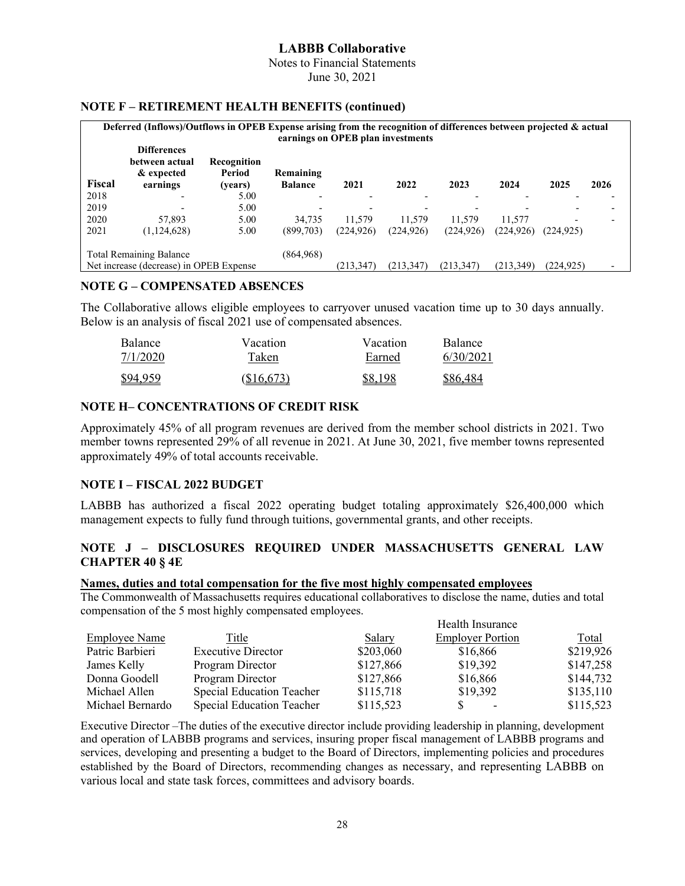Notes to Financial Statements

June 30, 2021

#### **NOTE F – RETIREMENT HEALTH BENEFITS (continued)**

|                                                                                                                                                        | Deferred (Inflows)/Outflows in OPEB Expense arising from the recognition of differences between projected & actual<br>earnings on OPEB plan investments |                                  |                             |            |            |            |            |                          |                          |
|--------------------------------------------------------------------------------------------------------------------------------------------------------|---------------------------------------------------------------------------------------------------------------------------------------------------------|----------------------------------|-----------------------------|------------|------------|------------|------------|--------------------------|--------------------------|
| Fiscal                                                                                                                                                 | <b>Differences</b><br>between actual<br>& expected<br>earnings                                                                                          | Recognition<br>Period<br>(years) | Remaining<br><b>Balance</b> | 2021       | 2022       | 2023       | 2024       | 2025                     | 2026                     |
| 2018                                                                                                                                                   |                                                                                                                                                         | 5.00                             |                             |            |            |            |            |                          |                          |
| 2019                                                                                                                                                   |                                                                                                                                                         | 5.00                             |                             | -          |            |            |            |                          | $\overline{\phantom{0}}$ |
| 2020                                                                                                                                                   | 57,893                                                                                                                                                  | 5.00                             | 34.735                      | 11.579     | 11.579     | 11.579     | 11.577     | $\overline{\phantom{0}}$ |                          |
| 2021                                                                                                                                                   | (1, 124, 628)                                                                                                                                           | 5.00                             | (899,703)                   | (224, 926) | (224, 926) | (224, 926) | (224, 926) | (224, 925)               |                          |
| (864,968)<br><b>Total Remaining Balance</b><br>Net increase (decrease) in OPEB Expense<br>(213,349)<br>(213.347)<br>(213.347)<br>(213.347<br>(224.925) |                                                                                                                                                         |                                  |                             |            |            |            |            |                          |                          |

#### **NOTE G – COMPENSATED ABSENCES**

The Collaborative allows eligible employees to carryover unused vacation time up to 30 days annually. Below is an analysis of fiscal 2021 use of compensated absences.

| <b>Balance</b> | Vacation   | Vacation | <b>Balance</b> |
|----------------|------------|----------|----------------|
| 7/1/2020       | Taken      | Earned   | 6/30/2021      |
| \$94,959       | (\$16,673) | \$8.198  | \$86,484       |

#### **NOTE H– CONCENTRATIONS OF CREDIT RISK**

Approximately 45% of all program revenues are derived from the member school districts in 2021. Two member towns represented 29% of all revenue in 2021. At June 30, 2021, five member towns represented approximately 49% of total accounts receivable.

#### **NOTE I – FISCAL 2022 BUDGET**

LABBB has authorized a fiscal 2022 operating budget totaling approximately \$26,400,000 which management expects to fully fund through tuitions, governmental grants, and other receipts.

#### **NOTE J – DISCLOSURES REQUIRED UNDER MASSACHUSETTS GENERAL LAW CHAPTER 40 § 4E**

#### **Names, duties and total compensation for the five most highly compensated employees**

The Commonwealth of Massachusetts requires educational collaboratives to disclose the name, duties and total compensation of the 5 most highly compensated employees.

|                      |                                  |           | Health Insurance        |           |
|----------------------|----------------------------------|-----------|-------------------------|-----------|
| <b>Employee Name</b> | Title                            | Salary    | <b>Employer Portion</b> | Total     |
| Patric Barbieri      | <b>Executive Director</b>        | \$203,060 | \$16,866                | \$219,926 |
| James Kelly          | Program Director                 | \$127,866 | \$19,392                | \$147,258 |
| Donna Goodell        | Program Director                 | \$127,866 | \$16,866                | \$144,732 |
| Michael Allen        | Special Education Teacher        | \$115,718 | \$19,392                | \$135,110 |
| Michael Bernardo     | <b>Special Education Teacher</b> | \$115,523 | -                       | \$115,523 |

Executive Director –The duties of the executive director include providing leadership in planning, development and operation of LABBB programs and services, insuring proper fiscal management of LABBB programs and services, developing and presenting a budget to the Board of Directors, implementing policies and procedures established by the Board of Directors, recommending changes as necessary, and representing LABBB on various local and state task forces, committees and advisory boards.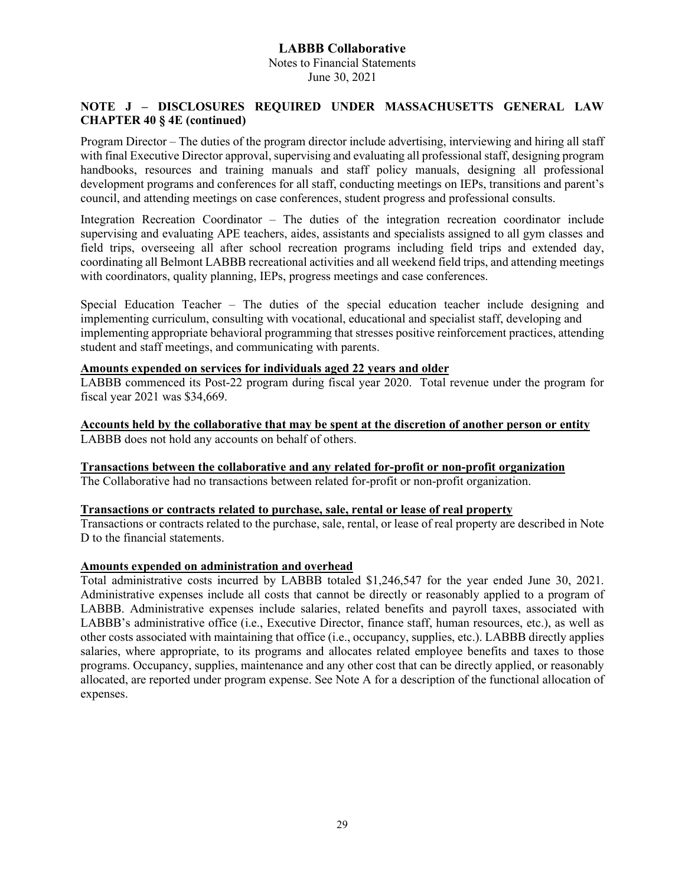#### **LABBB Collaborative** Notes to Financial Statements June 30, 2021

#### **NOTE J – DISCLOSURES REQUIRED UNDER MASSACHUSETTS GENERAL LAW CHAPTER 40 § 4E (continued)**

Program Director – The duties of the program director include advertising, interviewing and hiring all staff with final Executive Director approval, supervising and evaluating all professional staff, designing program handbooks, resources and training manuals and staff policy manuals, designing all professional development programs and conferences for all staff, conducting meetings on IEPs, transitions and parent's council, and attending meetings on case conferences, student progress and professional consults.

Integration Recreation Coordinator – The duties of the integration recreation coordinator include supervising and evaluating APE teachers, aides, assistants and specialists assigned to all gym classes and field trips, overseeing all after school recreation programs including field trips and extended day, coordinating all Belmont LABBB recreational activities and all weekend field trips, and attending meetings with coordinators, quality planning, IEPs, progress meetings and case conferences.

Special Education Teacher – The duties of the special education teacher include designing and implementing curriculum, consulting with vocational, educational and specialist staff, developing and implementing appropriate behavioral programming that stresses positive reinforcement practices, attending student and staff meetings, and communicating with parents.

#### **Amounts expended on services for individuals aged 22 years and older**

LABBB commenced its Post-22 program during fiscal year 2020. Total revenue under the program for fiscal year 2021 was \$34,669.

**Accounts held by the collaborative that may be spent at the discretion of another person or entity** LABBB does not hold any accounts on behalf of others.

**Transactions between the collaborative and any related for-profit or non-profit organization** The Collaborative had no transactions between related for-profit or non-profit organization.

#### **Transactions or contracts related to purchase, sale, rental or lease of real property**

Transactions or contracts related to the purchase, sale, rental, or lease of real property are described in Note D to the financial statements.

#### **Amounts expended on administration and overhead**

Total administrative costs incurred by LABBB totaled \$1,246,547 for the year ended June 30, 2021. Administrative expenses include all costs that cannot be directly or reasonably applied to a program of LABBB. Administrative expenses include salaries, related benefits and payroll taxes, associated with LABBB's administrative office (i.e., Executive Director, finance staff, human resources, etc.), as well as other costs associated with maintaining that office (i.e., occupancy, supplies, etc.). LABBB directly applies salaries, where appropriate, to its programs and allocates related employee benefits and taxes to those programs. Occupancy, supplies, maintenance and any other cost that can be directly applied, or reasonably allocated, are reported under program expense. See Note A for a description of the functional allocation of expenses.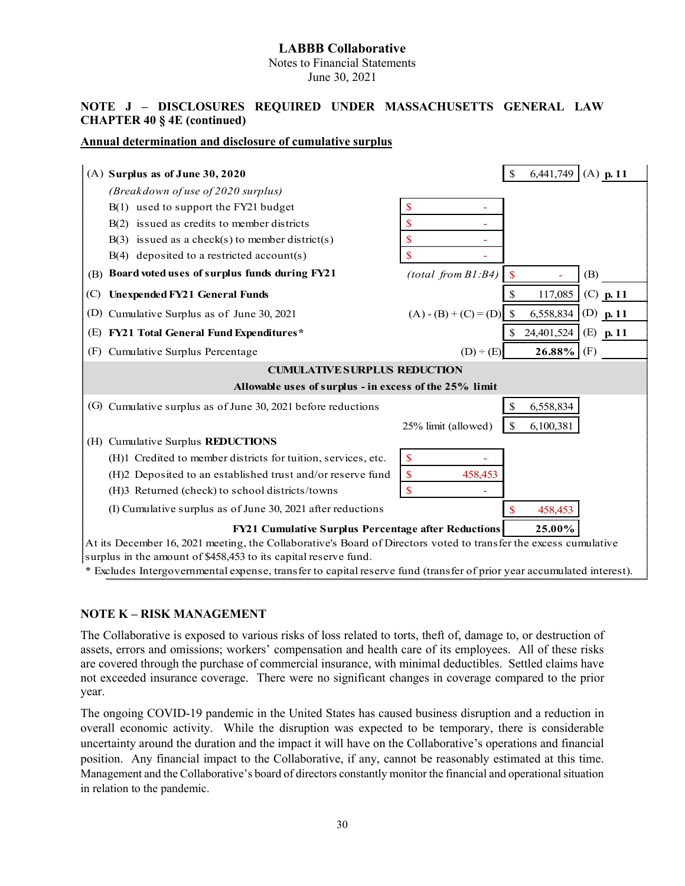Notes to Financial Statements June 30, 2021

#### **NOTE J – DISCLOSURES REQUIRED UNDER MASSACHUSETTS GENERAL LAW CHAPTER 40 § 4E (continued)**

#### **Annual determination and disclosure of cumulative surplus**

| $(A)$ Surplus as of June 30, 2020                                                                                     |                         | \$<br>$(A)$ p. 11<br>6.441.749          |  |  |  |
|-----------------------------------------------------------------------------------------------------------------------|-------------------------|-----------------------------------------|--|--|--|
| (Breakdown of use of 2020 surplus)                                                                                    |                         |                                         |  |  |  |
| B(1) used to support the FY21 budget                                                                                  | \$                      |                                         |  |  |  |
| B(2) issued as credits to member districts                                                                            | \$                      |                                         |  |  |  |
| $B(3)$ issued as a check(s) to member district(s)                                                                     | \$                      |                                         |  |  |  |
| $B(4)$ deposited to a restricted account(s)                                                                           | \$                      |                                         |  |  |  |
| Board voted uses of surplus funds during FY21<br>(B)                                                                  | (total from B1:B4)      | (B)<br>$\mathbf{\$}$                    |  |  |  |
| <b>Unexpended FY21 General Funds</b><br>(C)                                                                           |                         | $(C)$ p. 11<br>117,085                  |  |  |  |
| (D) Cumulative Surplus as of June 30, 2021                                                                            | $(A) - (B) + (C) = (D)$ | $\mathbb{S}$<br>6,558,834<br>(D) $p.11$ |  |  |  |
| <b>FY21 Total General Fund Expenditures*</b><br>(E)                                                                   |                         | 24,401,524<br>$(E)$ p. 11               |  |  |  |
| (F)<br>Cumulative Surplus Percentage                                                                                  | $(D) \div (E)$          | (F)<br>26.88%                           |  |  |  |
| <b>CUMULATIVE SURPLUS REDUCTION</b>                                                                                   |                         |                                         |  |  |  |
| Allowable uses of surplus - in excess of the 25% limit                                                                |                         |                                         |  |  |  |
| (G) Cumulative surplus as of June 30, 2021 before reductions                                                          |                         | \$<br>6,558,834                         |  |  |  |
|                                                                                                                       | 25% limit (allowed)     | \$<br>6,100,381                         |  |  |  |
| (H) Cumulative Surplus REDUCTIONS                                                                                     |                         |                                         |  |  |  |
| (H)1 Credited to member districts for tuition, services, etc.                                                         | \$                      |                                         |  |  |  |
| (H)2 Deposited to an established trust and/or reserve fund                                                            | \$<br>458,453           |                                         |  |  |  |
| (H)3 Returned (check) to school districts/towns                                                                       | \$                      |                                         |  |  |  |
| (I) Cumulative surplus as of June 30, 2021 after reductions                                                           |                         | 458,453                                 |  |  |  |
| <b>FY21 Cumulative Surplus Percentage after Reductions</b><br>25.00%                                                  |                         |                                         |  |  |  |
| At its December 16, 2021 meeting, the Collaborative's Board of Directors voted to transfer the excess cumulative      |                         |                                         |  |  |  |
| surplus in the amount of \$458,453 to its capital reserve fund.                                                       |                         |                                         |  |  |  |
| * Excludes Intergovernmental expense, transfer to capital reserve fund (transfer of prior year accumulated interest). |                         |                                         |  |  |  |

#### **NOTE K – RISK MANAGEMENT**

The Collaborative is exposed to various risks of loss related to torts, theft of, damage to, or destruction of assets, errors and omissions; workers' compensation and health care of its employees. All of these risks are covered through the purchase of commercial insurance, with minimal deductibles. Settled claims have not exceeded insurance coverage. There were no significant changes in coverage compared to the prior year.

The ongoing COVID-19 pandemic in the United States has caused business disruption and a reduction in overall economic activity. While the disruption was expected to be temporary, there is considerable uncertainty around the duration and the impact it will have on the Collaborative's operations and financial position. Any financial impact to the Collaborative, if any, cannot be reasonably estimated at this time. Management and the Collaborative's board of directors constantly monitor the financial and operational situation in relation to the pandemic.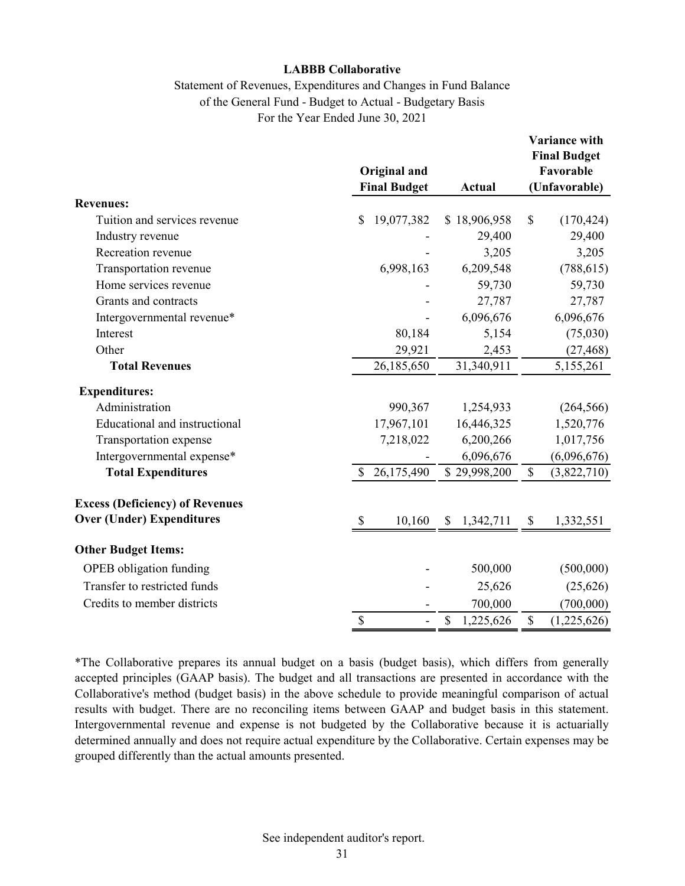#### Statement of Revenues, Expenditures and Changes in Fund Balance of the General Fund - Budget to Actual - Budgetary Basis For the Year Ended June 30, 2021

|                                        | Original and<br><b>Final Budget</b>                       | <b>Actual</b>     | Variance with<br><b>Final Budget</b><br>Favorable<br>(Unfavorable) |
|----------------------------------------|-----------------------------------------------------------|-------------------|--------------------------------------------------------------------|
| <b>Revenues:</b>                       |                                                           |                   |                                                                    |
| Tuition and services revenue           | 19,077,382<br>\$                                          | \$18,906,958      | \$<br>(170, 424)                                                   |
| Industry revenue                       |                                                           | 29,400            | 29,400                                                             |
| Recreation revenue                     |                                                           | 3,205             | 3,205                                                              |
| Transportation revenue                 | 6,998,163                                                 | 6,209,548         | (788, 615)                                                         |
| Home services revenue                  |                                                           | 59,730            | 59,730                                                             |
| Grants and contracts                   |                                                           | 27,787            | 27,787                                                             |
| Intergovernmental revenue*             |                                                           | 6,096,676         | 6,096,676                                                          |
| Interest                               | 80,184                                                    | 5,154             | (75,030)                                                           |
| Other                                  | 29,921                                                    | 2,453             | (27, 468)                                                          |
| <b>Total Revenues</b>                  | 26,185,650                                                | 31,340,911        | 5,155,261                                                          |
| <b>Expenditures:</b>                   |                                                           |                   |                                                                    |
| Administration                         | 990,367                                                   | 1,254,933         | (264, 566)                                                         |
| Educational and instructional          | 17,967,101                                                | 16,446,325        | 1,520,776                                                          |
| Transportation expense                 | 7,218,022                                                 | 6,200,266         | 1,017,756                                                          |
| Intergovernmental expense*             |                                                           | 6,096,676         | (6,096,676)                                                        |
| <b>Total Expenditures</b>              | 26,175,490<br><sup>\$</sup>                               | \$29,998,200      | $\mathbb{S}$<br>(3,822,710)                                        |
| <b>Excess (Deficiency) of Revenues</b> |                                                           |                   |                                                                    |
| <b>Over (Under) Expenditures</b>       | \$<br>10,160                                              | \$<br>1,342,711   | \$<br>1,332,551                                                    |
| <b>Other Budget Items:</b>             |                                                           |                   |                                                                    |
| OPEB obligation funding                |                                                           | 500,000           | (500,000)                                                          |
| Transfer to restricted funds           |                                                           | 25,626            | (25, 626)                                                          |
| Credits to member districts            |                                                           | 700,000           | (700,000)                                                          |
|                                        | $\boldsymbol{\mathsf{S}}$<br>$\qquad \qquad \blacksquare$ | $\$$<br>1,225,626 | $\mathbb S$<br>(1,225,626)                                         |

\*The Collaborative prepares its annual budget on a basis (budget basis), which differs from generally accepted principles (GAAP basis). The budget and all transactions are presented in accordance with the Collaborative's method (budget basis) in the above schedule to provide meaningful comparison of actual results with budget. There are no reconciling items between GAAP and budget basis in this statement. Intergovernmental revenue and expense is not budgeted by the Collaborative because it is actuarially determined annually and does not require actual expenditure by the Collaborative. Certain expenses may be grouped differently than the actual amounts presented.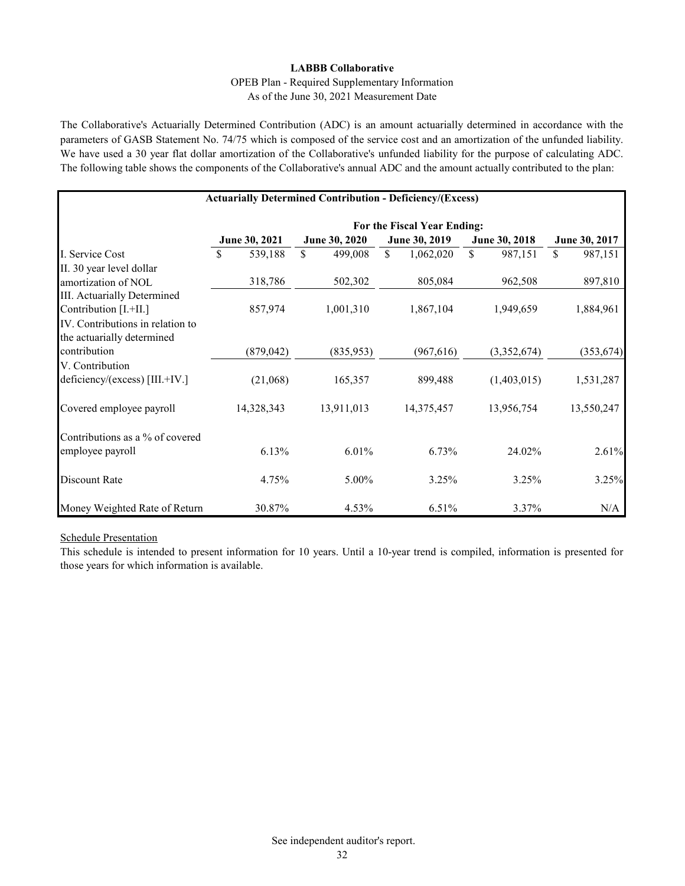#### OPEB Plan - Required Supplementary Information As of the June 30, 2021 Measurement Date

The Collaborative's Actuarially Determined Contribution (ADC) is an amount actuarially determined in accordance with the parameters of GASB Statement No. 74/75 which is composed of the service cost and an amortization of the unfunded liability. We have used a 30 year flat dollar amortization of the Collaborative's unfunded liability for the purpose of calculating ADC. The following table shows the components of the Collaborative's annual ADC and the amount actually contributed to the plan:

|                                  | <b>Actuarially Determined Contribution - Deficiency/(Excess)</b> |               |                             |               |               |
|----------------------------------|------------------------------------------------------------------|---------------|-----------------------------|---------------|---------------|
|                                  |                                                                  |               | For the Fiscal Year Ending: |               |               |
|                                  | June 30, 2021                                                    | June 30, 2020 | June 30, 2019               | June 30, 2018 | June 30, 2017 |
| I. Service Cost                  | \$<br>539,188                                                    | \$<br>499,008 | \$<br>1,062,020             | \$<br>987,151 | \$<br>987,151 |
| II. 30 year level dollar         |                                                                  |               |                             |               |               |
| amortization of NOL              | 318,786                                                          | 502,302       | 805,084                     | 962,508       | 897,810       |
| III. Actuarially Determined      |                                                                  |               |                             |               |               |
| Contribution [I.+II.]            | 857,974                                                          | 1,001,310     | 1,867,104                   | 1,949,659     | 1,884,961     |
| IV. Contributions in relation to |                                                                  |               |                             |               |               |
| the actuarially determined       |                                                                  |               |                             |               |               |
| contribution                     | (879, 042)                                                       | (835,953)     | (967, 616)                  | (3,352,674)   | (353, 674)    |
| V. Contribution                  |                                                                  |               |                             |               |               |
| deficiency/(excess) [III.+IV.]   | (21,068)                                                         | 165,357       | 899,488                     | (1,403,015)   | 1,531,287     |
| Covered employee payroll         | 14,328,343                                                       | 13,911,013    | 14,375,457                  | 13,956,754    | 13,550,247    |
| Contributions as a % of covered  |                                                                  |               |                             |               |               |
| employee payroll                 | 6.13%                                                            | 6.01%         | 6.73%                       | 24.02%        | 2.61%         |
| Discount Rate                    | 4.75%                                                            | 5.00%         | 3.25%                       | 3.25%         | 3.25%         |
| Money Weighted Rate of Return    | 30.87%                                                           | 4.53%         | 6.51%                       | 3.37%         | N/A           |

#### Schedule Presentation

This schedule is intended to present information for 10 years. Until a 10-year trend is compiled, information is presented for those years for which information is available.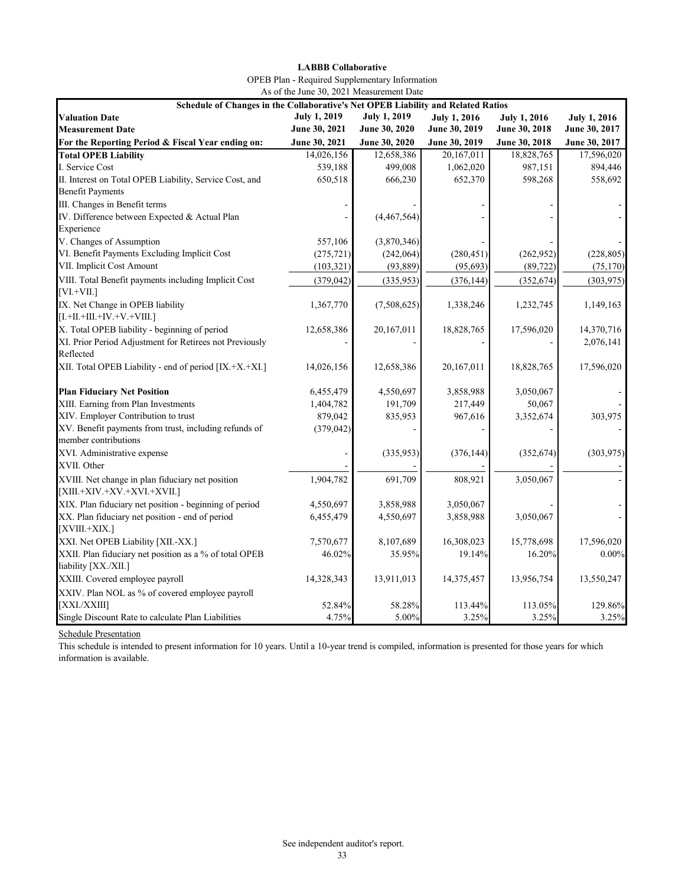| <b>LABBB Collaborative</b>                            |
|-------------------------------------------------------|
| <b>OPEB</b> Plan - Required Supplementary Information |
| As of the June 30, 2021 Measurement Date              |

| Schedule of Changes in the Collaborative's Net OPEB Liability and Related Ratios  |                     |                     |                     |                     |                     |
|-----------------------------------------------------------------------------------|---------------------|---------------------|---------------------|---------------------|---------------------|
| <b>Valuation Date</b>                                                             | <b>July 1, 2019</b> | <b>July 1, 2019</b> | <b>July 1, 2016</b> | <b>July 1, 2016</b> | <b>July 1, 2016</b> |
| <b>Measurement Date</b>                                                           | June 30, 2021       | June 30, 2020       | June 30, 2019       | June 30, 2018       | June 30, 2017       |
| For the Reporting Period & Fiscal Year ending on:                                 | June 30, 2021       | June 30, 2020       | June 30, 2019       | June 30, 2018       | June 30, 2017       |
| <b>Total OPEB Liability</b>                                                       | 14,026,156          | 12,658,386          | 20,167,011          | 18,828,765          | 17,596,020          |
| I. Service Cost                                                                   | 539,188             | 499,008             | 1,062,020           | 987,151             | 894,446             |
| II. Interest on Total OPEB Liability, Service Cost, and                           | 650,518             | 666,230             | 652,370             | 598,268             | 558,692             |
| <b>Benefit Payments</b>                                                           |                     |                     |                     |                     |                     |
| III. Changes in Benefit terms                                                     |                     |                     |                     |                     |                     |
| IV. Difference between Expected & Actual Plan                                     |                     | (4,467,564)         |                     |                     |                     |
| Experience                                                                        |                     |                     |                     |                     |                     |
| V. Changes of Assumption                                                          | 557,106             | (3,870,346)         |                     |                     |                     |
| VI. Benefit Payments Excluding Implicit Cost                                      | (275, 721)          | (242,064)           | (280, 451)          | (262,952)           | (228, 805)          |
| VII. Implicit Cost Amount                                                         | (103, 321)          | (93, 889)           | (95, 693)           | (89, 722)           | (75, 170)           |
| VIII. Total Benefit payments including Implicit Cost<br>$[VL+VII.]$               | (379, 042)          | (335, 953)          | (376, 144)          | (352, 674)          | (303, 975)          |
| IX. Net Change in OPEB liability<br>$[I.+II.+III.+IV.+V.+VIII.]$                  | 1,367,770           | (7,508,625)         | 1,338,246           | 1,232,745           | 1,149,163           |
| X. Total OPEB liability - beginning of period                                     | 12,658,386          | 20,167,011          | 18,828,765          | 17,596,020          | 14,370,716          |
| XI. Prior Period Adjustment for Retirees not Previously<br>Reflected              |                     |                     |                     |                     | 2,076,141           |
| XII. Total OPEB Liability - end of period [IX.+X.+XI.]                            | 14,026,156          | 12,658,386          | 20,167,011          | 18,828,765          | 17,596,020          |
| <b>Plan Fiduciary Net Position</b>                                                | 6,455,479           | 4,550,697           | 3,858,988           | 3,050,067           |                     |
| XIII. Earning from Plan Investments                                               | 1,404,782           | 191,709             | 217,449             | 50,067              |                     |
| XIV. Employer Contribution to trust                                               | 879,042             | 835,953             | 967,616             | 3,352,674           | 303,975             |
| XV. Benefit payments from trust, including refunds of<br>member contributions     | (379, 042)          |                     |                     |                     |                     |
| XVI. Administrative expense<br>XVII. Other                                        |                     | (335,953)           | (376, 144)          | (352, 674)          | (303, 975)          |
|                                                                                   |                     |                     |                     |                     |                     |
| XVIII. Net change in plan fiduciary net position<br>$[XIII.+XIV.+XV.+XVI.+XVII.]$ | 1,904,782           | 691,709             | 808,921             | 3,050,067           |                     |
| XIX. Plan fiduciary net position - beginning of period                            | 4,550,697           | 3,858,988           | 3,050,067           |                     |                     |
| XX. Plan fiduciary net position - end of period<br>[XVIII.+XIX.]                  | 6,455,479           | 4,550,697           | 3,858,988           | 3,050,067           |                     |
| XXI. Net OPEB Liability [XII.-XX.]                                                | 7,570,677           | 8,107,689           | 16,308,023          | 15,778,698          | 17,596,020          |
| XXII. Plan fiduciary net position as a % of total OPEB<br>liability [XX./XII.]    | 46.02%              | 35.95%              | 19.14%              | 16.20%              | $0.00\%$            |
| XXIII. Covered employee payroll                                                   | 14,328,343          | 13,911,013          | 14,375,457          | 13,956,754          | 13,550,247          |
| XXIV. Plan NOL as % of covered employee payroll                                   |                     |                     |                     |                     |                     |
| [XXL/XXIII]                                                                       | 52.84%              | 58.28%              | 113.44%             | 113.05%             | 129.86%             |
| Single Discount Rate to calculate Plan Liabilities                                | 4.75%               | 5.00%               | 3.25%               | 3.25%               | 3.25%               |

#### Schedule Presentation

This schedule is intended to present information for 10 years. Until a 10-year trend is compiled, information is presented for those years for which information is available.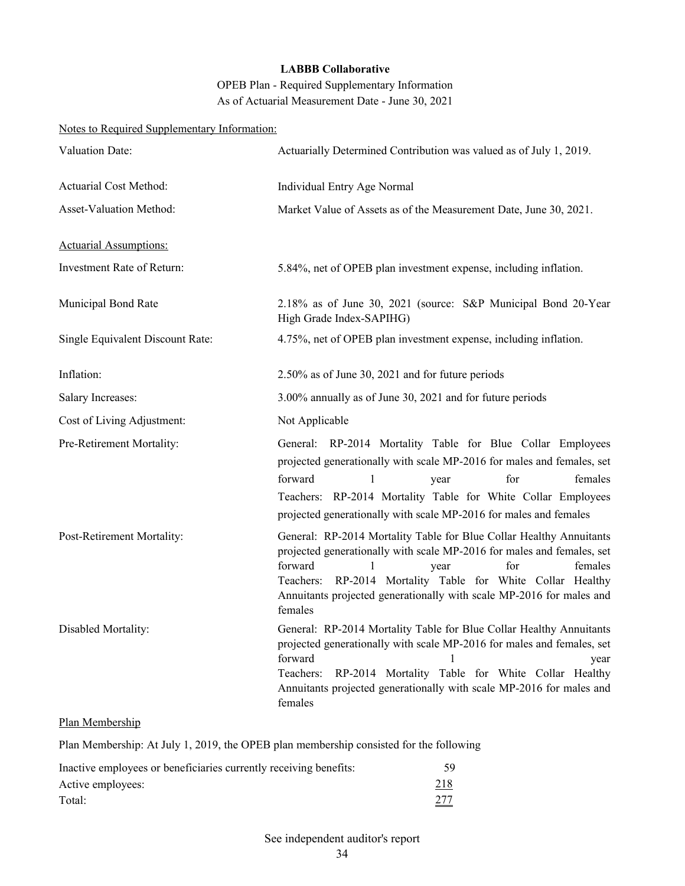OPEB Plan - Required Supplementary Information As of Actuarial Measurement Date - June 30, 2021

| Notes to Required Supplementary Information: |                                                                                                                                                                                                                                                                                                                                             |
|----------------------------------------------|---------------------------------------------------------------------------------------------------------------------------------------------------------------------------------------------------------------------------------------------------------------------------------------------------------------------------------------------|
| Valuation Date:                              | Actuarially Determined Contribution was valued as of July 1, 2019.                                                                                                                                                                                                                                                                          |
| Actuarial Cost Method:                       | Individual Entry Age Normal                                                                                                                                                                                                                                                                                                                 |
| Asset-Valuation Method:                      | Market Value of Assets as of the Measurement Date, June 30, 2021.                                                                                                                                                                                                                                                                           |
| <b>Actuarial Assumptions:</b>                |                                                                                                                                                                                                                                                                                                                                             |
| Investment Rate of Return:                   | 5.84%, net of OPEB plan investment expense, including inflation.                                                                                                                                                                                                                                                                            |
| Municipal Bond Rate                          | 2.18% as of June 30, 2021 (source: S&P Municipal Bond 20-Year<br>High Grade Index-SAPIHG)                                                                                                                                                                                                                                                   |
| Single Equivalent Discount Rate:             | 4.75%, net of OPEB plan investment expense, including inflation.                                                                                                                                                                                                                                                                            |
| Inflation:                                   | 2.50% as of June 30, 2021 and for future periods                                                                                                                                                                                                                                                                                            |
| <b>Salary Increases:</b>                     | 3.00% annually as of June 30, 2021 and for future periods                                                                                                                                                                                                                                                                                   |
| Cost of Living Adjustment:                   | Not Applicable                                                                                                                                                                                                                                                                                                                              |
| Pre-Retirement Mortality:                    | General: RP-2014 Mortality Table for Blue Collar Employees<br>projected generationally with scale MP-2016 for males and females, set<br>forward<br>for<br>1<br>females<br>year<br>Teachers: RP-2014 Mortality Table for White Collar Employees<br>projected generationally with scale MP-2016 for males and females                         |
| Post-Retirement Mortality:                   | General: RP-2014 Mortality Table for Blue Collar Healthy Annuitants<br>projected generationally with scale MP-2016 for males and females, set<br>forward<br>1<br>for<br>females<br>year<br>RP-2014 Mortality Table for White Collar Healthy<br>Teachers:<br>Annuitants projected generationally with scale MP-2016 for males and<br>females |
| Disabled Mortality:                          | General: RP-2014 Mortality Table for Blue Collar Healthy Annuitants<br>projected generationally with scale MP-2016 for males and females, set<br>forward<br>year<br>Teachers:<br>RP-2014 Mortality Table for White Collar Healthy<br>Annuitants projected generationally with scale MP-2016 for males and<br>females                        |

#### Plan Membership

Plan Membership: At July 1, 2019, the OPEB plan membership consisted for the following

| Inactive employees or beneficiaries currently receiving benefits: | 59         |
|-------------------------------------------------------------------|------------|
| Active employees:                                                 | <u>218</u> |
| Total:                                                            | 277        |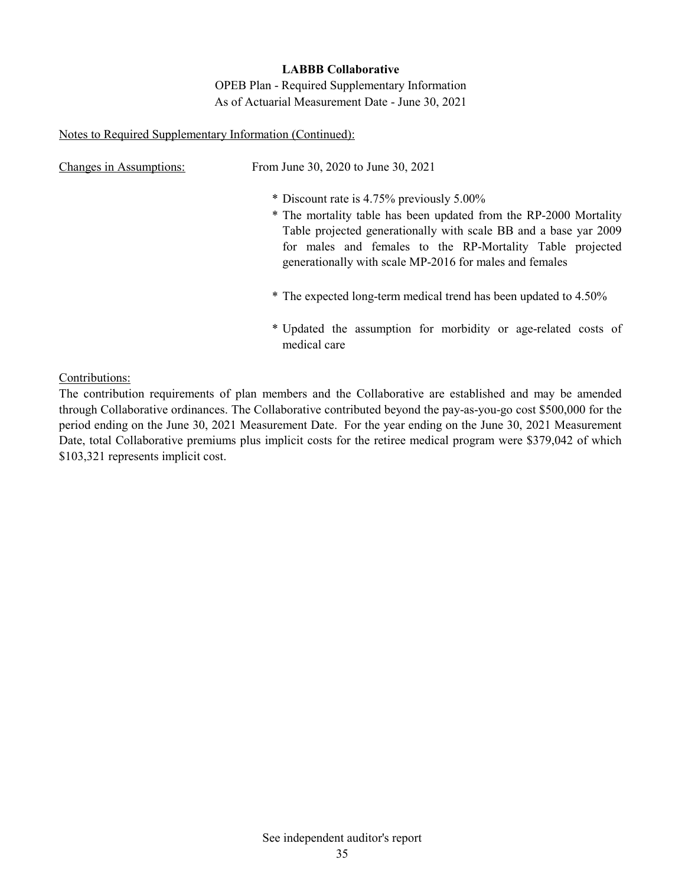OPEB Plan - Required Supplementary Information As of Actuarial Measurement Date - June 30, 2021

#### Notes to Required Supplementary Information (Continued):

| Changes in Assumptions: | From June 30, 2020 to June 30, 2021                                                                                                                                                                                                                                                                        |
|-------------------------|------------------------------------------------------------------------------------------------------------------------------------------------------------------------------------------------------------------------------------------------------------------------------------------------------------|
|                         | * Discount rate is 4.75% previously 5.00%<br>* The mortality table has been updated from the RP-2000 Mortality<br>Table projected generationally with scale BB and a base yar 2009<br>for males and females to the RP-Mortality Table projected<br>generationally with scale MP-2016 for males and females |
|                         | * The expected long-term medical trend has been updated to 4.50%                                                                                                                                                                                                                                           |
|                         | * Updated the assumption for morbidity or age-related costs of<br>medical care                                                                                                                                                                                                                             |

Contributions:

The contribution requirements of plan members and the Collaborative are established and may be amended through Collaborative ordinances. The Collaborative contributed beyond the pay-as-you-go cost \$500,000 for the period ending on the June 30, 2021 Measurement Date. For the year ending on the June 30, 2021 Measurement Date, total Collaborative premiums plus implicit costs for the retiree medical program were \$379,042 of which \$103,321 represents implicit cost.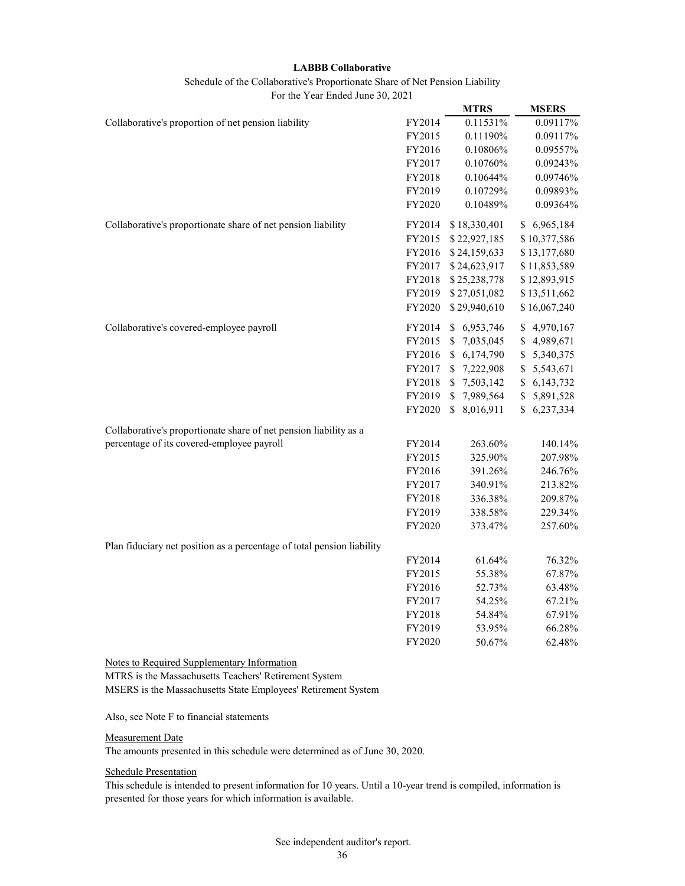Schedule of the Collaborative's Proportionate Share of Net Pension Liability

For the Year Ended June 30, 2021

|                                                                        |        | <b>MTRS</b>     | <b>MSERS</b>      |
|------------------------------------------------------------------------|--------|-----------------|-------------------|
| Collaborative's proportion of net pension liability                    | FY2014 | 0.11531%        | 0.09117%          |
|                                                                        | FY2015 | 0.11190%        | 0.09117%          |
|                                                                        | FY2016 | 0.10806%        | 0.09557%          |
|                                                                        | FY2017 | 0.10760%        | 0.09243%          |
|                                                                        | FY2018 | 0.10644%        | 0.09746%          |
|                                                                        | FY2019 | 0.10729%        | 0.09893%          |
|                                                                        | FY2020 | 0.10489%        | 0.09364%          |
| Collaborative's proportionate share of net pension liability           | FY2014 | \$18,330,401    | \$6,965,184       |
|                                                                        | FY2015 | \$22,927,185    | \$10,377,586      |
|                                                                        | FY2016 | \$24,159,633    | \$13,177,680      |
|                                                                        | FY2017 | \$24,623,917    | \$11,853,589      |
|                                                                        | FY2018 | \$25,238,778    | \$12,893,915      |
|                                                                        | FY2019 | \$27,051,082    | \$13,511,662      |
|                                                                        | FY2020 | \$29,940,610    | \$16,067,240      |
| Collaborative's covered-employee payroll                               | FY2014 | \$6,953,746     | \$<br>4,970,167   |
|                                                                        | FY2015 | \$7,035,045     | \$<br>4,989,671   |
|                                                                        | FY2016 | 6,174,790<br>\$ | \$<br>5,340,375   |
|                                                                        | FY2017 | 7,222,908<br>\$ | \$<br>5,543,671   |
|                                                                        | FY2018 | 7,503,142<br>\$ | \$<br>6, 143, 732 |
|                                                                        | FY2019 | \$7,989,564     | \$<br>5,891,528   |
|                                                                        | FY2020 | \$8,016,911     | \$6,237,334       |
| Collaborative's proportionate share of net pension liability as a      |        |                 |                   |
| percentage of its covered-employee payroll                             | FY2014 | 263.60%         | 140.14%           |
|                                                                        | FY2015 | 325.90%         | 207.98%           |
|                                                                        | FY2016 | 391.26%         | 246.76%           |
|                                                                        | FY2017 | 340.91%         | 213.82%           |
|                                                                        | FY2018 | 336.38%         | 209.87%           |
|                                                                        | FY2019 | 338.58%         | 229.34%           |
|                                                                        | FY2020 | 373.47%         | 257.60%           |
| Plan fiduciary net position as a percentage of total pension liability |        |                 |                   |
|                                                                        | FY2014 | 61.64%          | 76.32%            |
|                                                                        | FY2015 | 55.38%          | 67.87%            |
|                                                                        | FY2016 | 52.73%          | 63.48%            |
|                                                                        | FY2017 | 54.25%          | 67.21%            |
|                                                                        | FY2018 | 54.84%          | 67.91%            |
|                                                                        | FY2019 | 53.95%          | 66.28%            |
|                                                                        | FY2020 | 50.67%          | 62.48%            |

Notes to Required Supplementary Information

MTRS is the Massachusetts Teachers' Retirement System MSERS is the Massachusetts State Employees' Retirement System

Also, see Note F to financial statements

#### Measurement Date

The amounts presented in this schedule were determined as of June 30, 2020.

#### Schedule Presentation

This schedule is intended to present information for 10 years. Until a 10-year trend is compiled, information is presented for those years for which information is available.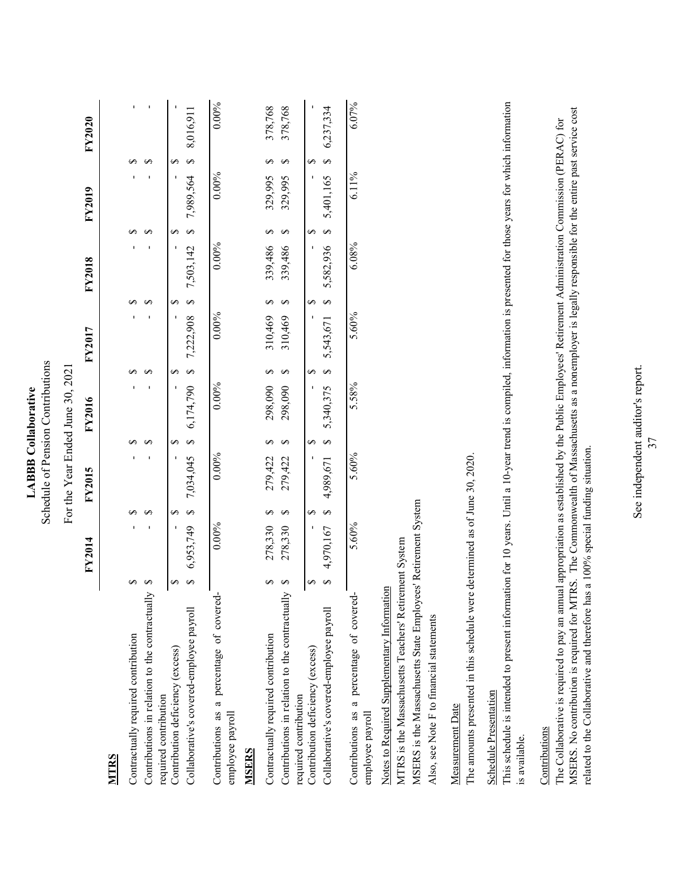## For the Year Ended June 30, 2021 For the Year Ended June 30, 2021

| Y2020                      |
|----------------------------|
| <b>FY2019</b>              |
| <b>FY2018</b>              |
| <b>FY2017</b>              |
| V2016                      |
| $\overline{\text{Y}}$ 2015 |
| <b>FY201</b>               |

## **MTRS**

| Contractually required contribution                           |            |            |                                                                                                             |          |          |            |          |  |
|---------------------------------------------------------------|------------|------------|-------------------------------------------------------------------------------------------------------------|----------|----------|------------|----------|--|
| Contributions in relation to the contractual                  |            |            |                                                                                                             |          |          |            |          |  |
| required contribution                                         |            |            |                                                                                                             |          |          |            |          |  |
| Contribution deficiency (excess)                              |            |            |                                                                                                             |          |          | و<br>-     |          |  |
| Collaborative's covered-employee payroll                      |            |            | $116,910,8$ s $395,696,7$ s $347,696,7$ s $300,622,7$ s $300,62,72$ s $300,60,7$ s $300,60,7$ s $300,60,60$ |          |          |            |          |  |
| Contributions as a percentage of covered-<br>employee payroll | $0.00\%$   | $0.00\%$   | $0.00\%$                                                                                                    | $0.00\%$ | $0.00\%$ | $0.00\%$   | $0.00\%$ |  |
| MSERS                                                         |            |            |                                                                                                             |          |          |            |          |  |
| Contractually required contribution                           | 278,330 \$ | 279,422 \$ | 298,090                                                                                                     | 310,469  | 339,486  | 329,995 \$ | 378,768  |  |
| Contributions in relation to the contractual                  | 278,330    | 279,422    | 298,090                                                                                                     | 310,469  | 339,486  | 329,995    | 378,768  |  |
| required contribution                                         |            |            |                                                                                                             |          |          |            |          |  |
| Contribution deficiency (excess)                              |            | و<br>ا     | و<br>ا                                                                                                      |          |          | ى<br>-     |          |  |
| Collaborative's covered-employee payroll                      |            |            |                                                                                                             |          |          |            |          |  |

## $\Xi$

| contractually required contribution               | $\sim$ | $2/8,350$ \$ |              | xa/'xy' の Christy の Q&t'sss の Gat'ol's の OGO'xgzz の ファマギムノフィ                                          |       |            |       |                    |  |
|---------------------------------------------------|--------|--------------|--------------|-------------------------------------------------------------------------------------------------------|-------|------------|-------|--------------------|--|
| Contributions in relation to the contractually \$ |        | 278,330 \$   | $279,422$ \$ | 298,090 \$                                                                                            |       | 339,486 \$ |       | 329,995 \$ 378,768 |  |
| equired contribution                              |        |              |              |                                                                                                       |       |            |       |                    |  |
| Contribution deficiency (excess)                  |        |              | $\sim$       |                                                                                                       |       |            |       |                    |  |
| Collaborative's covered-employee payroll          |        |              |              | $4,970,167$ \$ $4,989,671$ \$ $5,340,375$ \$ $5,543,671$ \$ $5,582,936$ \$ $5,401,165$ \$ $6,237,334$ |       |            |       |                    |  |
|                                                   |        |              |              |                                                                                                       |       |            |       |                    |  |
| Contributions as a percentage of covered-         |        | 5.60%        | 5.60%        | 5.58%                                                                                                 | 5.60% | 6.08%      | 6.11% | 6.07%              |  |

# Notes to Required Supplementary Information Notes to Required Supplementary Information

employee payroll

employee payroll

MTRS is the Massachusetts Teachers' Retirement System MTRS is the Massachusetts Teachers' Retirement System

MSERS is the Massachusetts State Employees' Retirement System MSERS is the Massachusetts State Employees' Retirement System Also, see Note F to financial statements Also, see Note F to financial statements

Measurement Date Measurement Date The amounts presented in this schedule were determined as of June 30, 2020. The amounts presented in this schedule were determined as of June 30, 2020.

## **Schedule Presentation** Schedule Presentation

This schedule is intended to present information for 10 years. Until a 10-year trend is compiled, information is presented for those years for which information This schedule is intended to present information for 10 years. Until a 10-year trend is compiled, information is presented for those years for which information is available.

### Contributions **Contributions**

MSERS. No contribution is required for MTRS. The Commonwealth of Massachusetts as a nonemployer is legally responsible for the entire past service cost MSERS. No contribution is required for MTRS. The Commonwealth of Massachusetts as a nonemployer is legally responsible for the entire past service cost The Collaborative is required to pay an annual appropriation as established by the Public Employees' Retirement Administration Commission (PERAC) for The Collaborative is required to pay an annual appropriation as established by the Public Employees' Retirement Administration Commission (PERAC) for related to the Collaborative and therefore has a 100% special funding situation. related to the Collaborative and therefore has a 100% special funding situation.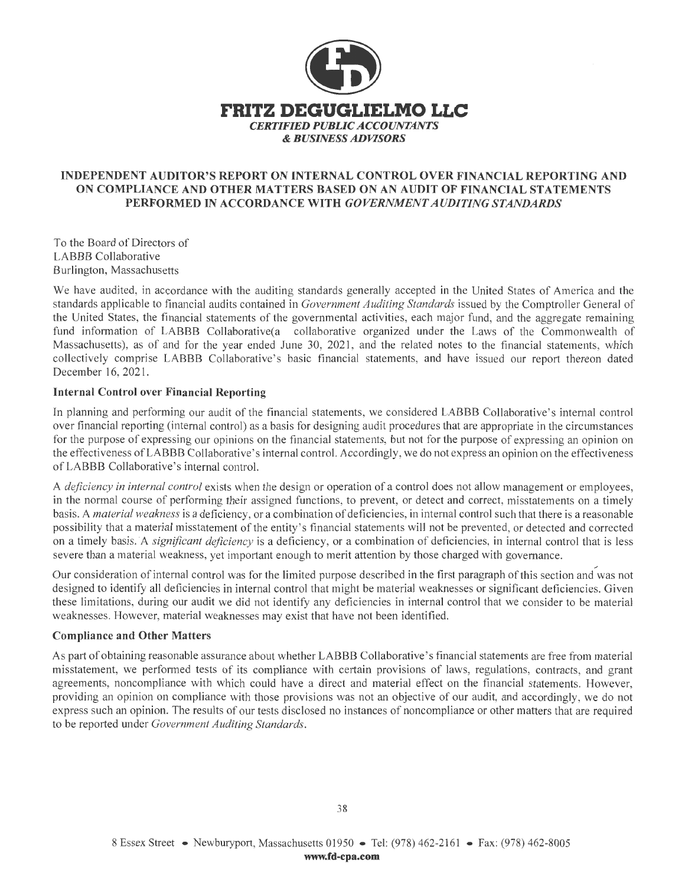

#### **INDEPENDENT AUDITOR'S REPORT ON INTERNAL CONTROL OVER FINANCIAL REPORTING AND ON COMPLIANCE AND OTHER MATTERS BASED ON AN AUDIT OF FINANCIAL STATEMENTS PERFORMED IN ACCORDANCE WITH** *GOVERNMENT AUDITING STANDARDS*

To the Board of Directors of LABBB Collaborative Burlington, Massachusetts

We have audited, in accordance with the auditing standards generally accepted in the United States of America and the standards applicable to financial audits contained in *Government Auditing Standards* issued by the Comptroller General of the United States, the financial statements of the governmental activities, each major fund, and the aggregate remaining fund information of LABBB Collaborative(a collaborative organized under the Laws of the Commonwealth of Massachusetts), as of and for the year ended June 30, 2021, and the related notes to the financial statements, which collectively comprise LABBB Collaborative's basic financial statements, and have issued our report thereon dated December 16, 2021.

#### **Internal Control over Financial Reporting**

In planning and performing our audit of the financial statements, we considered LABBB Collaborative's internal control over financial reporting (internal control) as a basis for designing audit procedures that are appropriate in the circumstances for the purpose of expressing our opinions on the financial statements, but not for the purpose of expressing an opinion on the effectiveness of LA BBB Collaborative's internal control. Accordingly, we do not express an opinion on the effectiveness of LA BBB Collaborative's internal control.

A *deficiency in internal control* exists when the design or operation of a control does not allow management or employees, in the normal course of performing their assigned functions, to prevent, or detect and correct, misstatements on a timely basis. A *material weakness* is a deficiency, or a combination of deficiencies, in internal control such that there is a reasonable possibility that a material misstatement of the entity's financial statements will not be prevented, or detected and corrected on a timely basis. A *significant deficiency* is a deficiency, or a combination of deficiencies, in internal control that is less severe than a material weakness, yet important enough to merit attention by those charged with governance.

Our consideration of internal control was for the limited purpose described in the first paragraph of this section and was not designed to identify all deficiencies in internal control that might be material weaknesses or significant deficiencies. Given these limitations, during our audit we did not identify any deficiencies in internal control that we consider to be material weaknesses. However, material weaknesses may exist that have not been identified.

#### **Compliance and Other Matters**

As part of obtaining reasonable assurance about whether LABBB Collaborative's financial statements are free from material misstatement, we performed tests of its compliance with certain provisions of laws, regulations, contracts, and grant agreements, noncompliance with which could have a direct and material effect on the financial statements. However, providing an opinion on compliance with those provisions was not an objective of our audit, and accordingly, we do not express such an opinion. The results of our tests disclosed no instances of noncompliance or other matters that are required to be reported under *Government Auditing Standards.*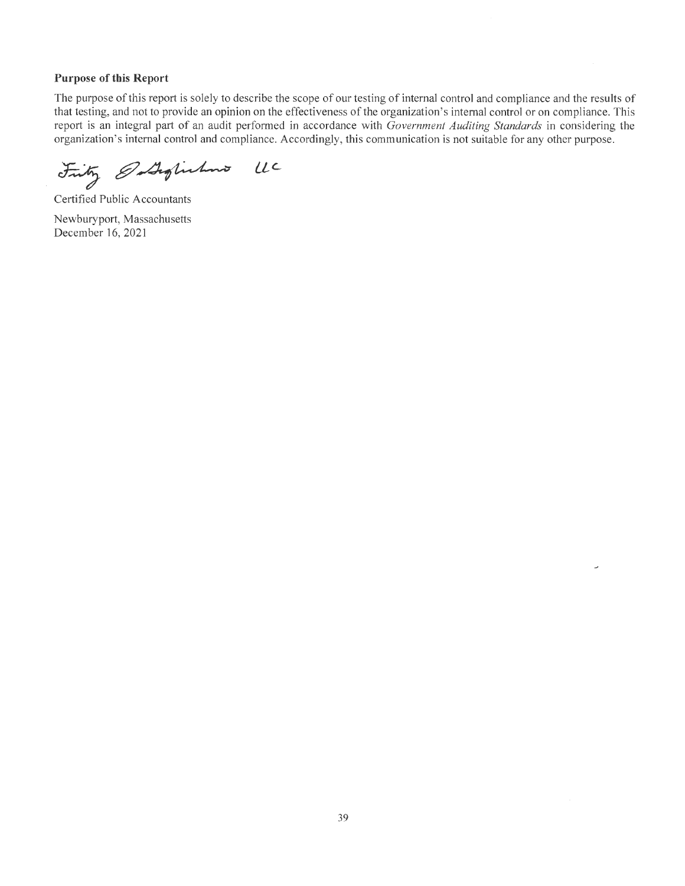#### **Purpose of this Report**

The purpose of this report is solely to describe the scope of our testing of internal control and compliance and the results of that testing, and not to provide an opinion on the effectiveness of the organization's internal control or on compliance. This report is an integral part of an audit performed in accordance with *Government Auditing Standards* in considering the organization's internal control and compliance. Accordingly, this communication is not suitable for any other purpose.

Frity Ostophilms UC

Certified Public Accountants Newburyport, Massachusetts December 16, 2021